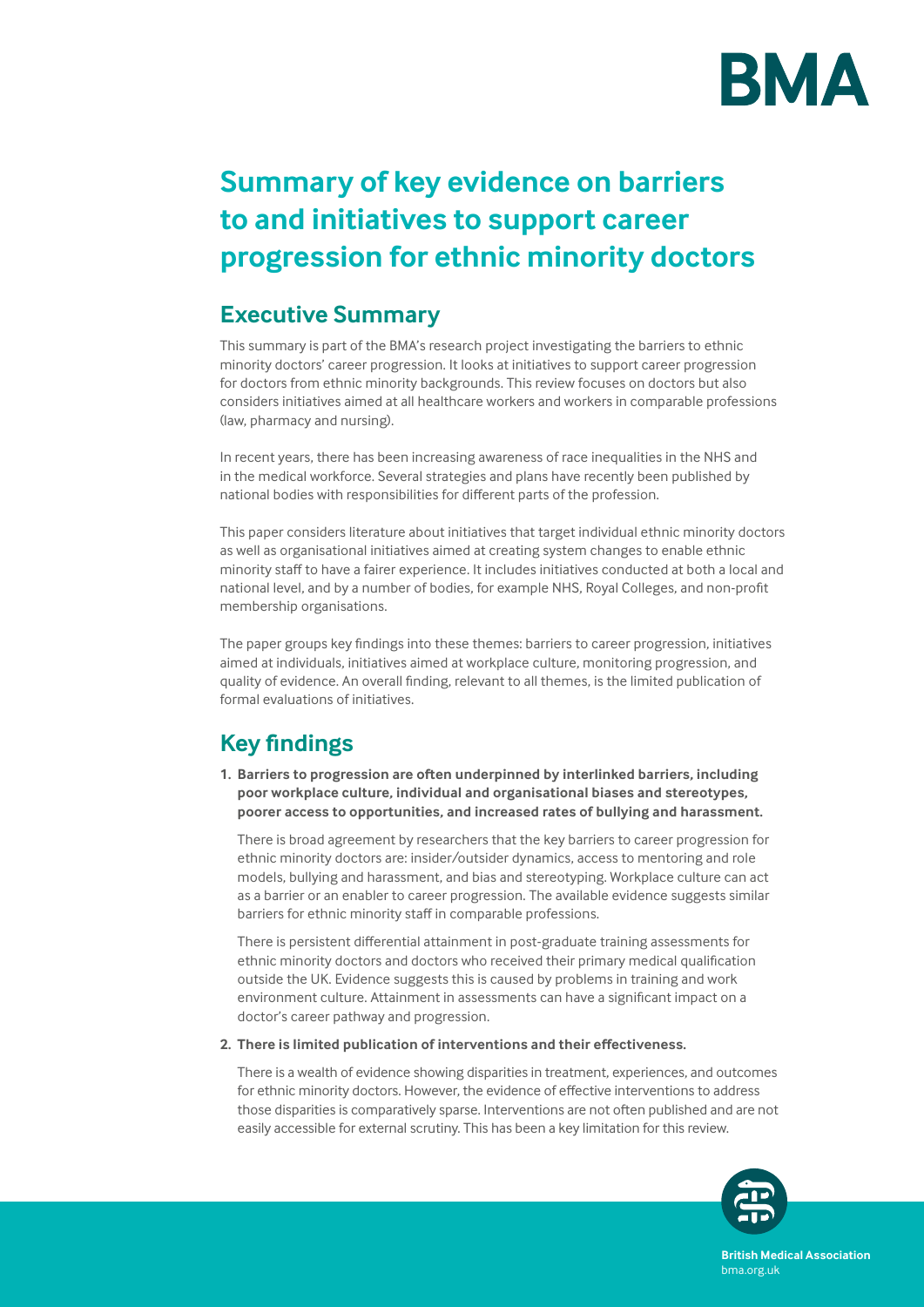

# **Summary of key evidence on barriers to and initiatives to support career progression for ethnic minority doctors**

### **Executive Summary**

This summary is part of the BMA's research project investigating the barriers to ethnic minority doctors' career progression. It looks at initiatives to support career progression for doctors from ethnic minority backgrounds. This review focuses on doctors but also considers initiatives aimed at all healthcare workers and workers in comparable professions (law, pharmacy and nursing).

In recent years, there has been increasing awareness of race inequalities in the NHS and in the medical workforce. Several strategies and plans have recently been published by national bodies with responsibilities for different parts of the profession.

This paper considers literature about initiatives that target individual ethnic minority doctors as well as organisational initiatives aimed at creating system changes to enable ethnic minority staff to have a fairer experience. It includes initiatives conducted at both a local and national level, and by a number of bodies, for example NHS, Royal Colleges, and non-profit membership organisations.

The paper groups key findings into these themes: barriers to career progression, initiatives aimed at individuals, initiatives aimed at workplace culture, monitoring progression, and quality of evidence. An overall finding, relevant to all themes, is the limited publication of formal evaluations of initiatives.

## **Key findings**

**1. Barriers to progression are often underpinned by interlinked barriers, including poor workplace culture, individual and organisational biases and stereotypes, poorer access to opportunities, and increased rates of bullying and harassment.** 

There is broad agreement by researchers that the key barriers to career progression for ethnic minority doctors are: insider/outsider dynamics, access to mentoring and role models, bullying and harassment, and bias and stereotyping. Workplace culture can act as a barrier or an enabler to career progression. The available evidence suggests similar barriers for ethnic minority staff in comparable professions.

There is persistent differential attainment in post-graduate training assessments for ethnic minority doctors and doctors who received their primary medical qualification outside the UK. Evidence suggests this is caused by problems in training and work environment culture. Attainment in assessments can have a significant impact on a doctor's career pathway and progression.

#### **2. There is limited publication of interventions and their effectiveness.**

There is a wealth of evidence showing disparities in treatment, experiences, and outcomes for ethnic minority doctors. However, the evidence of effective interventions to address those disparities is comparatively sparse. Interventions are not often published and are not easily accessible for external scrutiny. This has been a key limitation for this review.



**British Medical Association** bma.org.uk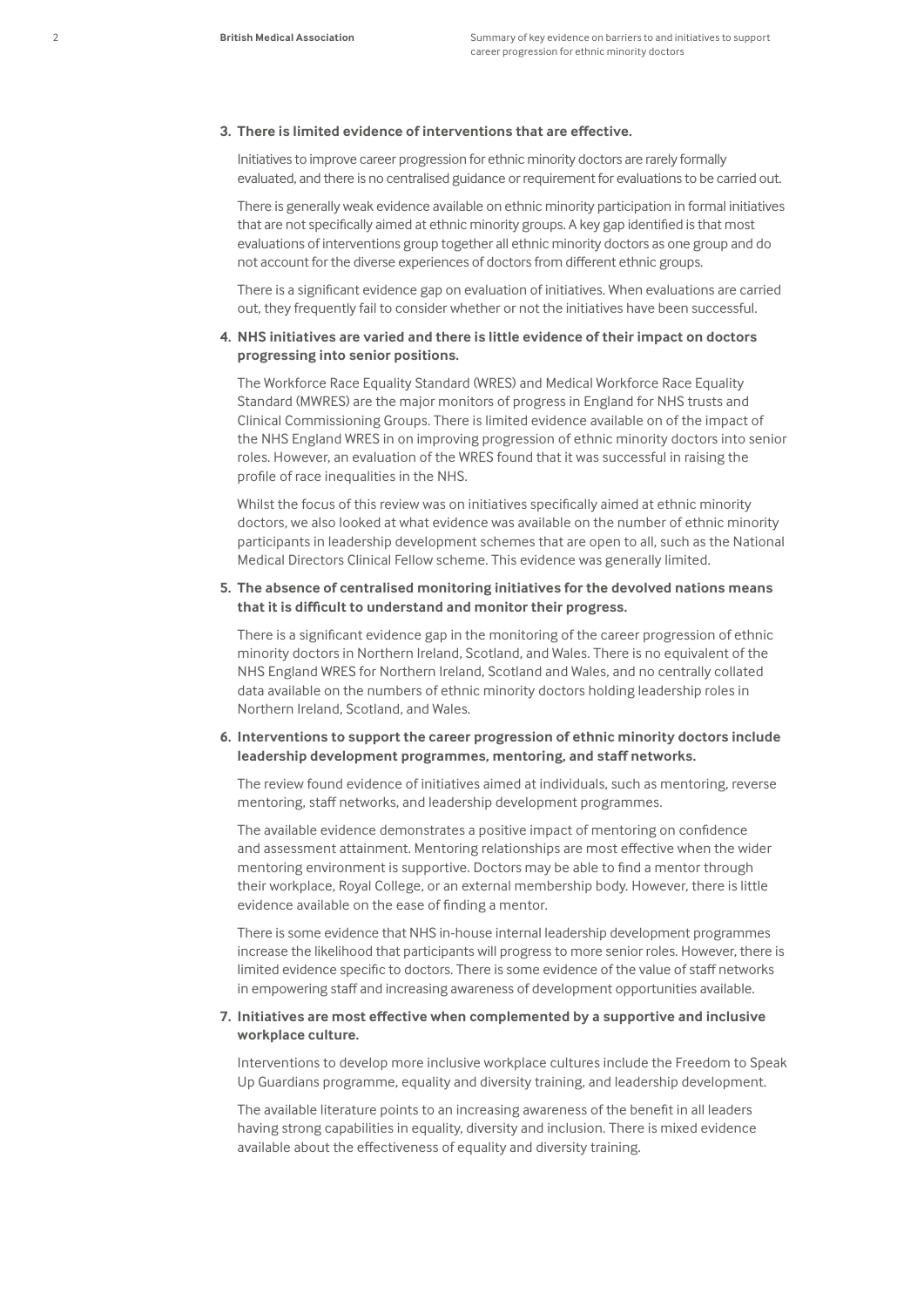#### **3. There is limited evidence of interventions that are effective.**

Initiatives to improve career progression for ethnic minority doctors are rarely formally evaluated, and there is no centralised guidance or requirement for evaluations to be carried out.

There is generally weak evidence available on ethnic minority participation in formal initiatives that are not specifically aimed at ethnic minority groups. A key gap identified is that most evaluations of interventions group together all ethnic minority doctors as one group and do not account for the diverse experiences of doctors from different ethnic groups.

There is a significant evidence gap on evaluation of initiatives. When evaluations are carried out, they frequently fail to consider whether or not the initiatives have been successful.

#### **4. NHS initiatives are varied and there is little evidence of their impact on doctors progressing into senior positions.**

The Workforce Race Equality Standard (WRES) and Medical Workforce Race Equality Standard (MWRES) are the major monitors of progress in England for NHS trusts and Clinical Commissioning Groups. There is limited evidence available on of the impact of the NHS England WRES in on improving progression of ethnic minority doctors into senior roles. However, an evaluation of the WRES found that it was successful in raising the profile of race inequalities in the NHS.

Whilst the focus of this review was on initiatives specifically aimed at ethnic minority doctors, we also looked at what evidence was available on the number of ethnic minority participants in leadership development schemes that are open to all, such as the National Medical Directors Clinical Fellow scheme. This evidence was generally limited.

#### **5. The absence of centralised monitoring initiatives for the devolved nations means that it is difficult to understand and monitor their progress.**

There is a significant evidence gap in the monitoring of the career progression of ethnic minority doctors in Northern Ireland, Scotland, and Wales. There is no equivalent of the NHS England WRES for Northern Ireland, Scotland and Wales, and no centrally collated data available on the numbers of ethnic minority doctors holding leadership roles in Northern Ireland, Scotland, and Wales.

#### **6. Interventions to support the career progression of ethnic minority doctors include leadership development programmes, mentoring, and staff networks.**

The review found evidence of initiatives aimed at individuals, such as mentoring, reverse mentoring, staff networks, and leadership development programmes.

The available evidence demonstrates a positive impact of mentoring on confidence and assessment attainment. Mentoring relationships are most effective when the wider mentoring environment is supportive. Doctors may be able to find a mentor through their workplace, Royal College, or an external membership body. However, there is little evidence available on the ease of finding a mentor.

There is some evidence that NHS in-house internal leadership development programmes increase the likelihood that participants will progress to more senior roles. However, there is limited evidence specific to doctors. There is some evidence of the value of staff networks in empowering staff and increasing awareness of development opportunities available.

#### **7. Initiatives are most effective when complemented by a supportive and inclusive workplace culture.**

Interventions to develop more inclusive workplace cultures include the Freedom to Speak Up Guardians programme, equality and diversity training, and leadership development.

The available literature points to an increasing awareness of the benefit in all leaders having strong capabilities in equality, diversity and inclusion. There is mixed evidence available about the effectiveness of equality and diversity training.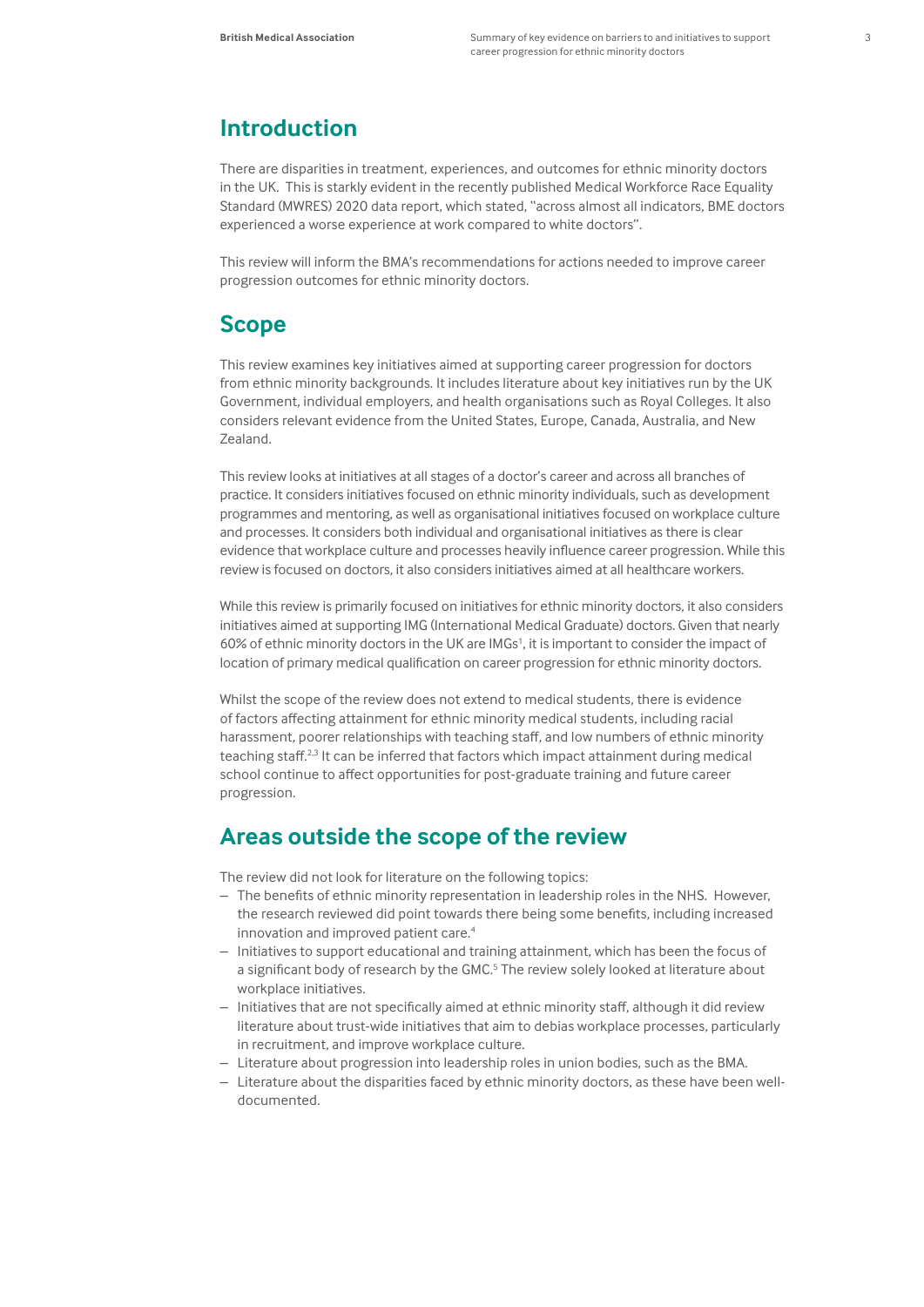### **Introduction**

There are disparities in treatment, experiences, and outcomes for ethnic minority doctors in the UK. This is starkly evident in the recently published Medical Workforce Race Equality Standard (MWRES) 2020 data report, which stated, "across almost all indicators, BME doctors experienced a worse experience at work compared to white doctors".

This review will inform the BMA's recommendations for actions needed to improve career progression outcomes for ethnic minority doctors.

### **Scope**

This review examines key initiatives aimed at supporting career progression for doctors from ethnic minority backgrounds. It includes literature about key initiatives run by the UK Government, individual employers, and health organisations such as Royal Colleges. It also considers relevant evidence from the United States, Europe, Canada, Australia, and New Zealand.

This review looks at initiatives at all stages of a doctor's career and across all branches of practice. It considers initiatives focused on ethnic minority individuals, such as development programmes and mentoring, as well as organisational initiatives focused on workplace culture and processes. It considers both individual and organisational initiatives as there is clear evidence that workplace culture and processes heavily influence career progression. While this review is focused on doctors, it also considers initiatives aimed at all healthcare workers.

While this review is primarily focused on initiatives for ethnic minority doctors, it also considers initiatives aimed at supporting IMG (International Medical Graduate) doctors. Given that nearly 60% of ethnic minority doctors in the UK are IMGs<sup>1</sup> , it is important to consider the impact of location of primary medical qualification on career progression for ethnic minority doctors.

Whilst the scope of the review does not extend to medical students, there is evidence of factors affecting attainment for ethnic minority medical students, including racial harassment, poorer relationships with teaching staff, and low numbers of ethnic minority teaching staff.<sup>2,3</sup> It can be inferred that factors which impact attainment during medical school continue to affect opportunities for post-graduate training and future career progression.

### **Areas outside the scope of the review**

The review did not look for literature on the following topics:

- The benefits of ethnic minority representation in leadership roles in the NHS. However, the research reviewed did point towards there being some benefits, including increased innovation and improved patient care.<sup>4</sup>
- Initiatives to support educational and training attainment, which has been the focus of a significant body of research by the GMC.<sup>5</sup> The review solely looked at literature about workplace initiatives.
- Initiatives that are not specifically aimed at ethnic minority staff, although it did review literature about trust-wide initiatives that aim to debias workplace processes, particularly in recruitment, and improve workplace culture.
- Literature about progression into leadership roles in union bodies, such as the BMA.
- Literature about the disparities faced by ethnic minority doctors, as these have been welldocumented.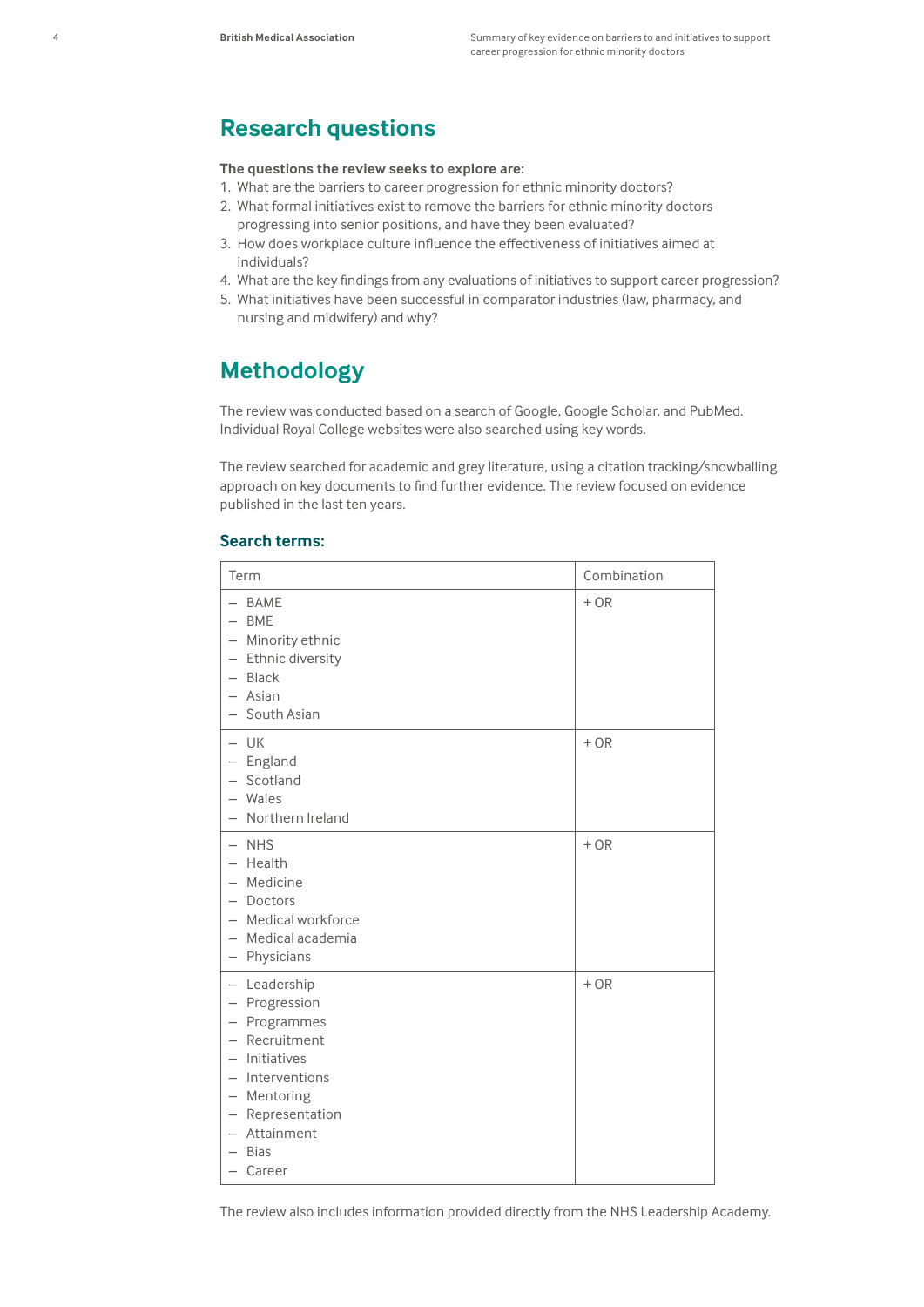### **Research questions**

#### **The questions the review seeks to explore are:**

- 1. What are the barriers to career progression for ethnic minority doctors?
- 2. What formal initiatives exist to remove the barriers for ethnic minority doctors progressing into senior positions, and have they been evaluated?
- 3. How does workplace culture influence the effectiveness of initiatives aimed at individuals?
- 4. What are the key findings from any evaluations of initiatives to support career progression?
- 5. What initiatives have been successful in comparator industries (law, pharmacy, and nursing and midwifery) and why?

### **Methodology**

The review was conducted based on a search of Google, Google Scholar, and PubMed. Individual Royal College websites were also searched using key words.

The review searched for academic and grey literature, using a citation tracking/snowballing approach on key documents to find further evidence. The review focused on evidence published in the last ten years.

#### **Search terms:**

| Term                                                                                                                                                                                                                                           | Combination |
|------------------------------------------------------------------------------------------------------------------------------------------------------------------------------------------------------------------------------------------------|-------------|
| <b>BAME</b><br><b>BME</b><br>Minority ethnic<br>$\overline{\phantom{m}}$<br>- Ethnic diversity<br>- Black<br>$-$ Asian<br>- South Asian                                                                                                        | $+OR$       |
| $-$ UK<br>- England<br>Scotland<br>$\qquad \qquad -$<br>$-$ Wales<br>- Northern Ireland                                                                                                                                                        | $+OR$       |
| <b>NHS</b><br>$\qquad \qquad -$<br>- Health<br>- Medicine<br>- Doctors<br>- Medical workforce<br>- Medical academia<br>- Physicians                                                                                                            | $+OR$       |
| - Leadership<br>Progression<br>$\overline{\phantom{a}}$<br>- Programmes<br>- Recruitment<br>Initiatives<br>$\qquad \qquad -$<br>Interventions<br>$\qquad \qquad -$<br>- Mentoring<br>- Representation<br>Attainment<br><b>Bias</b><br>- Career | $+OR$       |

The review also includes information provided directly from the NHS Leadership Academy.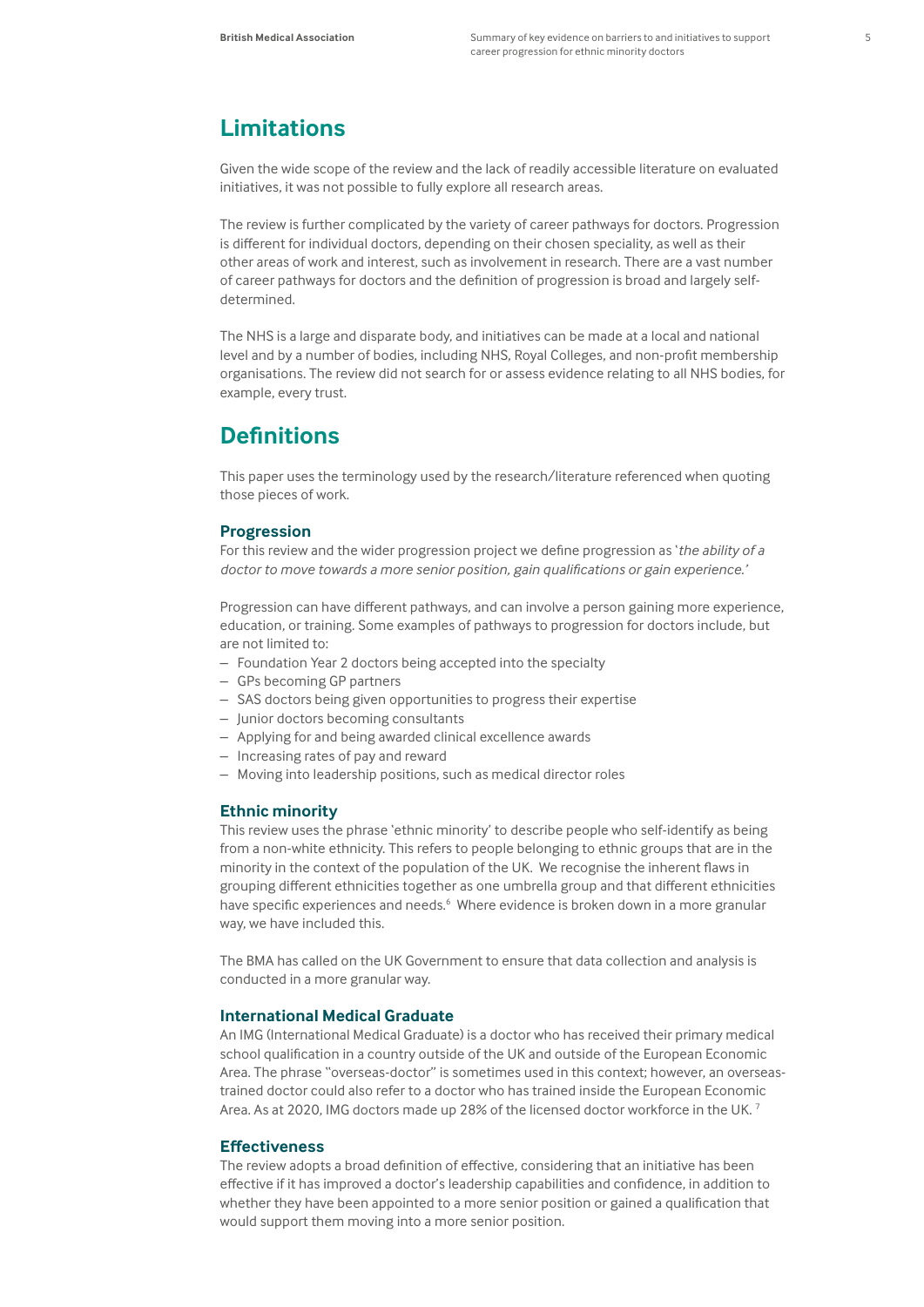### **Limitations**

Given the wide scope of the review and the lack of readily accessible literature on evaluated initiatives, it was not possible to fully explore all research areas.

The review is further complicated by the variety of career pathways for doctors. Progression is different for individual doctors, depending on their chosen speciality, as well as their other areas of work and interest, such as involvement in research. There are a vast number of career pathways for doctors and the definition of progression is broad and largely selfdetermined.

The NHS is a large and disparate body, and initiatives can be made at a local and national level and by a number of bodies, including NHS, Royal Colleges, and non-profit membership organisations. The review did not search for or assess evidence relating to all NHS bodies, for example, every trust.

### **Definitions**

This paper uses the terminology used by the research/literature referenced when quoting those pieces of work.

#### **Progression**

For this review and the wider progression project we define progression as '*the ability of a doctor to move towards a more senior position, gain qualifications or gain experience.'*

Progression can have different pathways, and can involve a person gaining more experience, education, or training. Some examples of pathways to progression for doctors include, but are not limited to:

- Foundation Year 2 doctors being accepted into the specialty
- GPs becoming GP partners
- SAS doctors being given opportunities to progress their expertise
- Junior doctors becoming consultants
- Applying for and being awarded clinical excellence awards
- Increasing rates of pay and reward
- Moving into leadership positions, such as medical director roles

#### **Ethnic minority**

This review uses the phrase 'ethnic minority' to describe people who self-identify as being from a non-white ethnicity. This refers to people belonging to ethnic groups that are in the minority in the context of the population of the UK. We recognise the inherent flaws in grouping different ethnicities together as one umbrella group and that different ethnicities have specific experiences and needs.<sup>6</sup> Where evidence is broken down in a more granular way, we have included this.

The BMA has called on the UK Government to ensure that data collection and analysis is conducted in a more granular way.

#### **International Medical Graduate**

An IMG (International Medical Graduate) is a doctor who has received their primary medical school qualification in a country outside of the UK and outside of the European Economic Area. The phrase "overseas-doctor" is sometimes used in this context; however, an overseastrained doctor could also refer to a doctor who has trained inside the European Economic Area. As at 2020, IMG doctors made up 28% of the licensed doctor workforce in the UK.<sup>7</sup>

#### **Effectiveness**

The review adopts a broad definition of effective, considering that an initiative has been effective if it has improved a doctor's leadership capabilities and confidence, in addition to whether they have been appointed to a more senior position or gained a qualification that would support them moving into a more senior position.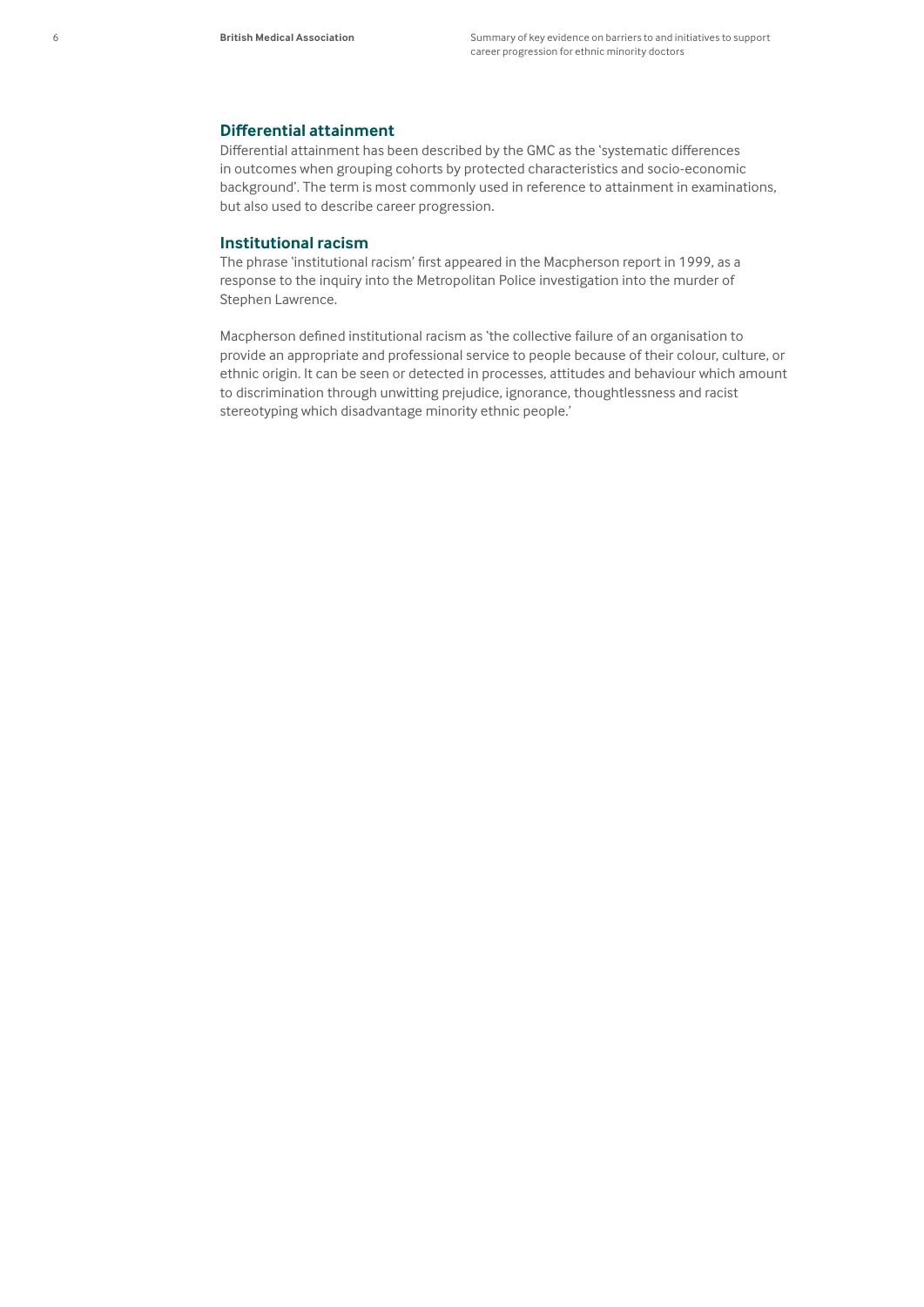#### **Differential attainment**

Differential attainment has been described by the GMC as the 'systematic differences in outcomes when grouping cohorts by protected characteristics and socio-economic background'. The term is most commonly used in reference to attainment in examinations, but also used to describe career progression.

#### **Institutional racism**

The phrase 'institutional racism' first appeared in the Macpherson report in 1999, as a response to the inquiry into the Metropolitan Police investigation into the murder of Stephen Lawrence.

Macpherson defined institutional racism as 'the collective failure of an organisation to provide an appropriate and professional service to people because of their colour, culture, or ethnic origin. It can be seen or detected in processes, attitudes and behaviour which amount to discrimination through unwitting prejudice, ignorance, thoughtlessness and racist stereotyping which disadvantage minority ethnic people.'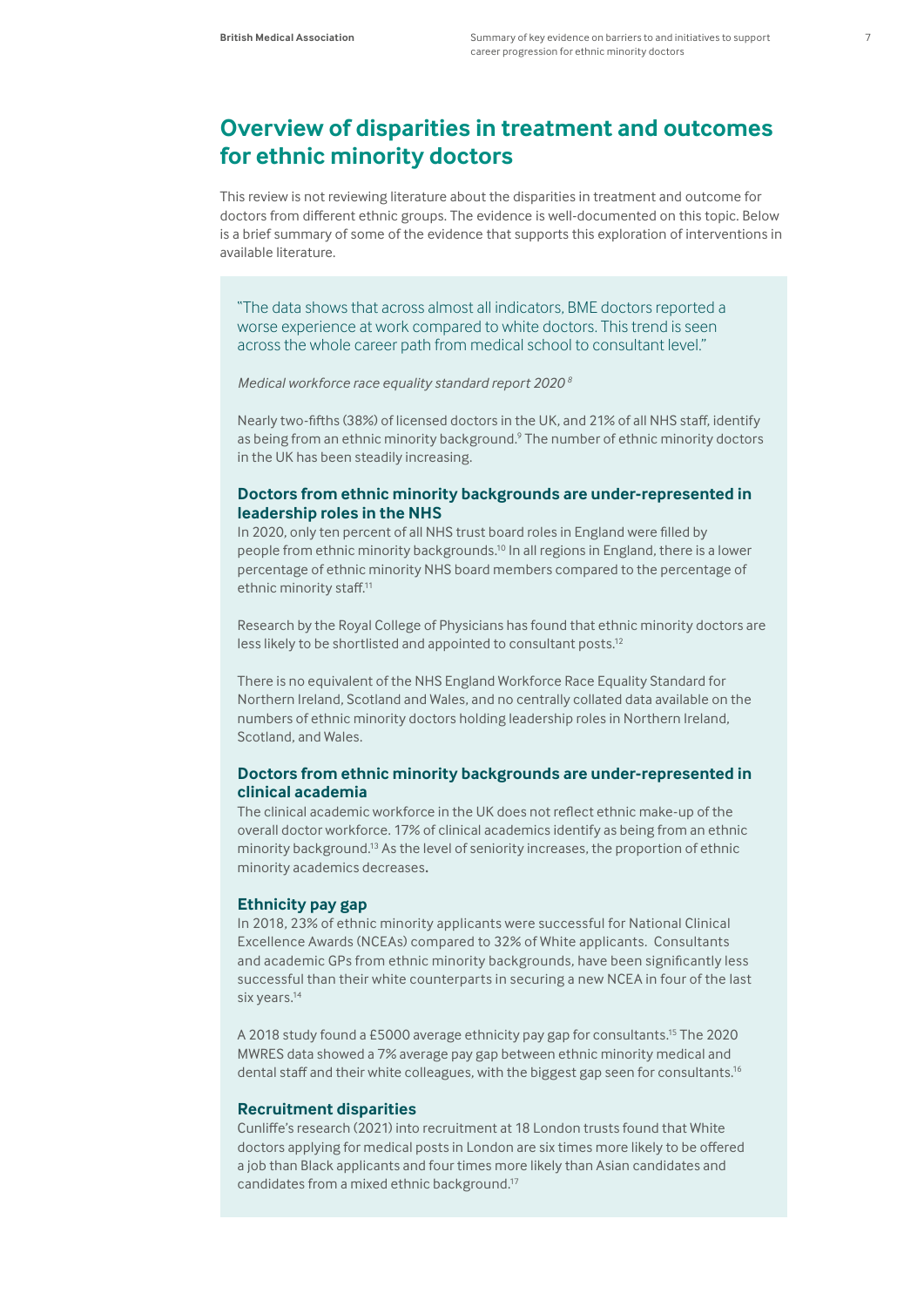### **Overview of disparities in treatment and outcomes for ethnic minority doctors**

This review is not reviewing literature about the disparities in treatment and outcome for doctors from different ethnic groups. The evidence is well-documented on this topic. Below is a brief summary of some of the evidence that supports this exploration of interventions in available literature.

"The data shows that across almost all indicators, BME doctors reported a worse experience at work compared to white doctors. This trend is seen across the whole career path from medical school to consultant level."

#### *Medical workforce race equality standard report 2020 8*

Nearly two-fifths (38%) of licensed doctors in the UK, and 21% of all NHS staff, identify as being from an ethnic minority background.<sup>9</sup> The number of ethnic minority doctors in the UK has been steadily increasing.

#### **Doctors from ethnic minority backgrounds are under-represented in leadership roles in the NHS**

In 2020, only ten percent of all NHS trust board roles in England were filled by people from ethnic minority backgrounds.10 In all regions in England, there is a lower percentage of ethnic minority NHS board members compared to the percentage of ethnic minority staff.<sup>11</sup>

[Research by the Royal College of Physicians](https://www.rcplondon.ac.uk/news/rcp-survey-uncovers-years-discrimination-against-black-asian-and-minority-ethnic-doctors) has found that ethnic minority doctors are less likely to be shortlisted and appointed to consultant posts.12

There is no equivalent of the NHS England Workforce Race Equality Standard for Northern Ireland, Scotland and Wales, and no centrally collated data available on the numbers of ethnic minority doctors holding leadership roles in Northern Ireland, Scotland, and Wales.

#### **Doctors from ethnic minority backgrounds are under-represented in clinical academia**

The clinical academic workforce in the UK does not reflect ethnic make-up of the overall doctor workforce. 17% of clinical academics identify as being from an ethnic minority background.13 As the level of seniority increases, the proportion of ethnic minority academics decreases**.** 

#### **Ethnicity pay gap**

In 2018, 23% of ethnic minority applicants were successful for National Clinical Excellence Awards (NCEAs) compared to 32% of White applicants. Consultants and academic GPs from ethnic minority backgrounds, have been significantly less successful than their white counterparts in securing a new NCEA in four of the last six years.<sup>14</sup>

A 2018 study found a £5000 average ethnicity pay gap for consultants.15 The 2020 MWRES data showed a 7% average pay gap between ethnic minority medical and dental staff and their white colleagues, with the biggest gap seen for consultants.<sup>16</sup>

#### **Recruitment disparities**

Cunliffe's research (2021) into recruitment at 18 London trusts found that White doctors applying for medical posts in London are six times more likely to be offered a job than Black applicants and four times more likely than Asian candidates and candidates from a mixed ethnic background.17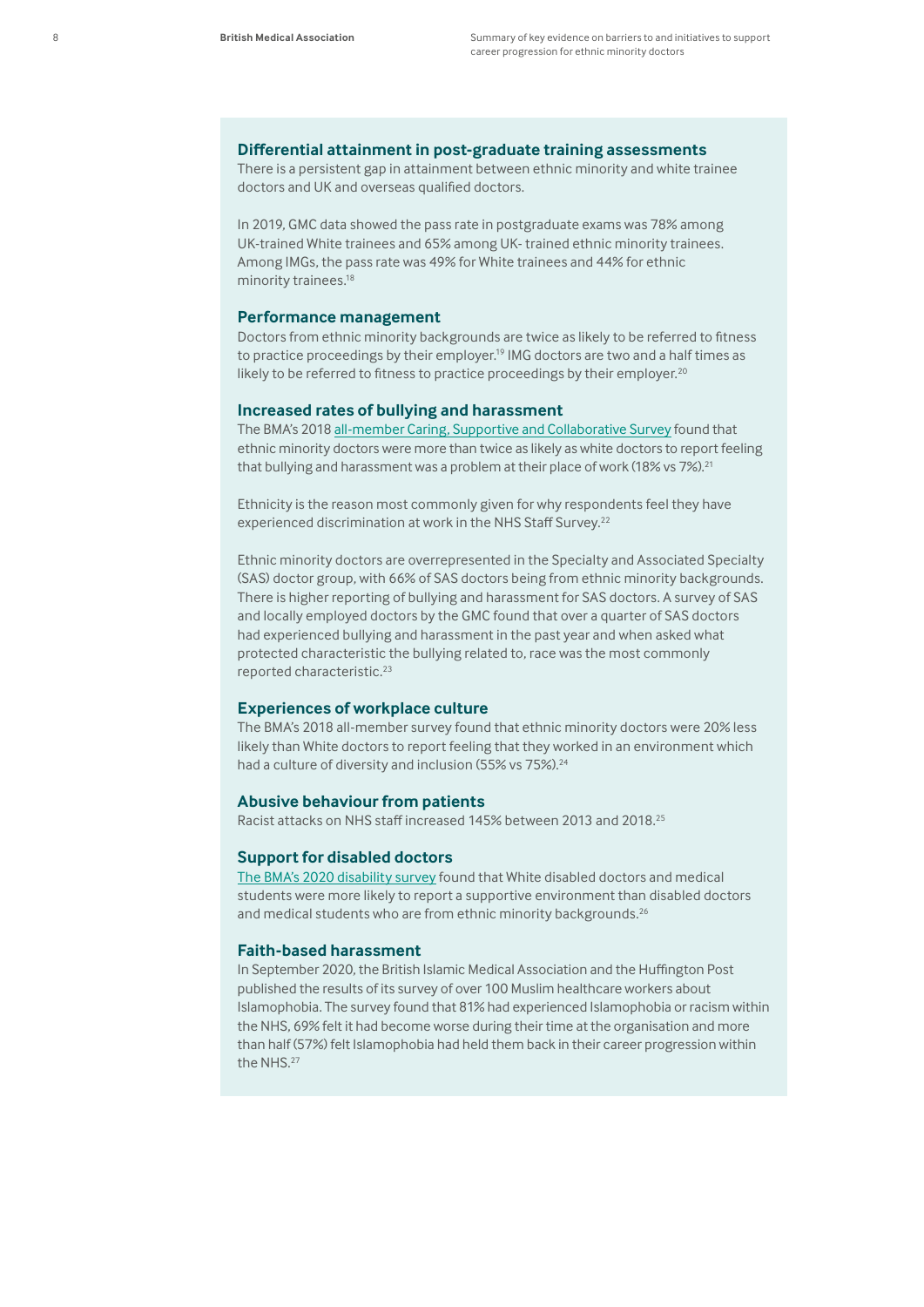#### **Differential attainment in post-graduate training assessments**

There is a persistent gap in attainment between ethnic minority and white trainee doctors and UK and overseas qualified doctors.

In 2019, [GMC data](https://www.gmc-uk.org/education/14105.asp) showed the pass rate in postgraduate exams was 78% among UK-trained White trainees and 65% among UK- trained ethnic minority trainees. Among IMGs, the pass rate was 49% for White trainees and 44% for ethnic minority trainees.<sup>18</sup>

#### **Performance management**

Doctors from ethnic minority backgrounds are twice as likely to be referred to fitness to practice proceedings by their employer.<sup>19</sup> IMG doctors are two and a half times as likely to be referred to fitness to practice proceedings by their employer.<sup>20</sup>

#### **Increased rates of bullying and harassment**

The BMA's 2018 [all-member Caring, Supportive and Collaborative Survey](https://www.bma.org.uk/media/2035/bma-caring-supportive-collaborative-survey-report-sept-2018.pdf) found that ethnic minority doctors were more than twice as likely as white doctors to report feeling that bullying and harassment was a problem at their place of work (18% vs 7%).<sup>21</sup>

Ethnicity is the reason most commonly given for why respondents feel they have experienced discrimination at work in the NHS Staff Survey.<sup>22</sup>

Ethnic minority doctors are overrepresented in the Specialty and Associated Specialty (SAS) doctor group, with 66% of SAS doctors being from ethnic minority backgrounds. There is higher reporting of bullying and harassment for SAS doctors. A survey of SAS and locally employed doctors by the GMC found that over a quarter of SAS doctors had experienced bullying and harassment in the past year and when asked what protected characteristic the bullying related to, race was the most commonly reported characteristic.23

#### **Experiences of workplace culture**

The BMA's 2018 all-member survey found that ethnic minority doctors were 20% less likely than White doctors to report feeling that they worked in an environment which had a culture of diversity and inclusion (55% vs 75%).<sup>24</sup>

#### **Abusive behaviour from patients**

Racist attacks on NHS staff increased 145% between 2013 and 2018.<sup>25</sup>

#### **Support for disabled doctors**

[The BMA's 2020 disability survey](https://www.bma.org.uk/media/2923/bma-disability-in-the-medical-profession.pdf) found that White disabled doctors and medical students were more likely to report a supportive environment than disabled doctors and medical students who are from ethnic minority backgrounds.<sup>26</sup>

#### **Faith-based harassment**

In September 2020, the British Islamic Medical Association and the Huffington Post published the results of its survey of over 100 Muslim healthcare workers about Islamophobia. The survey found that 81% had experienced Islamophobia or racism within the NHS, 69% felt it had become worse during their time at the organisation and more than half (57%) felt Islamophobia had held them back in their career progression within the NHS.<sup>27</sup>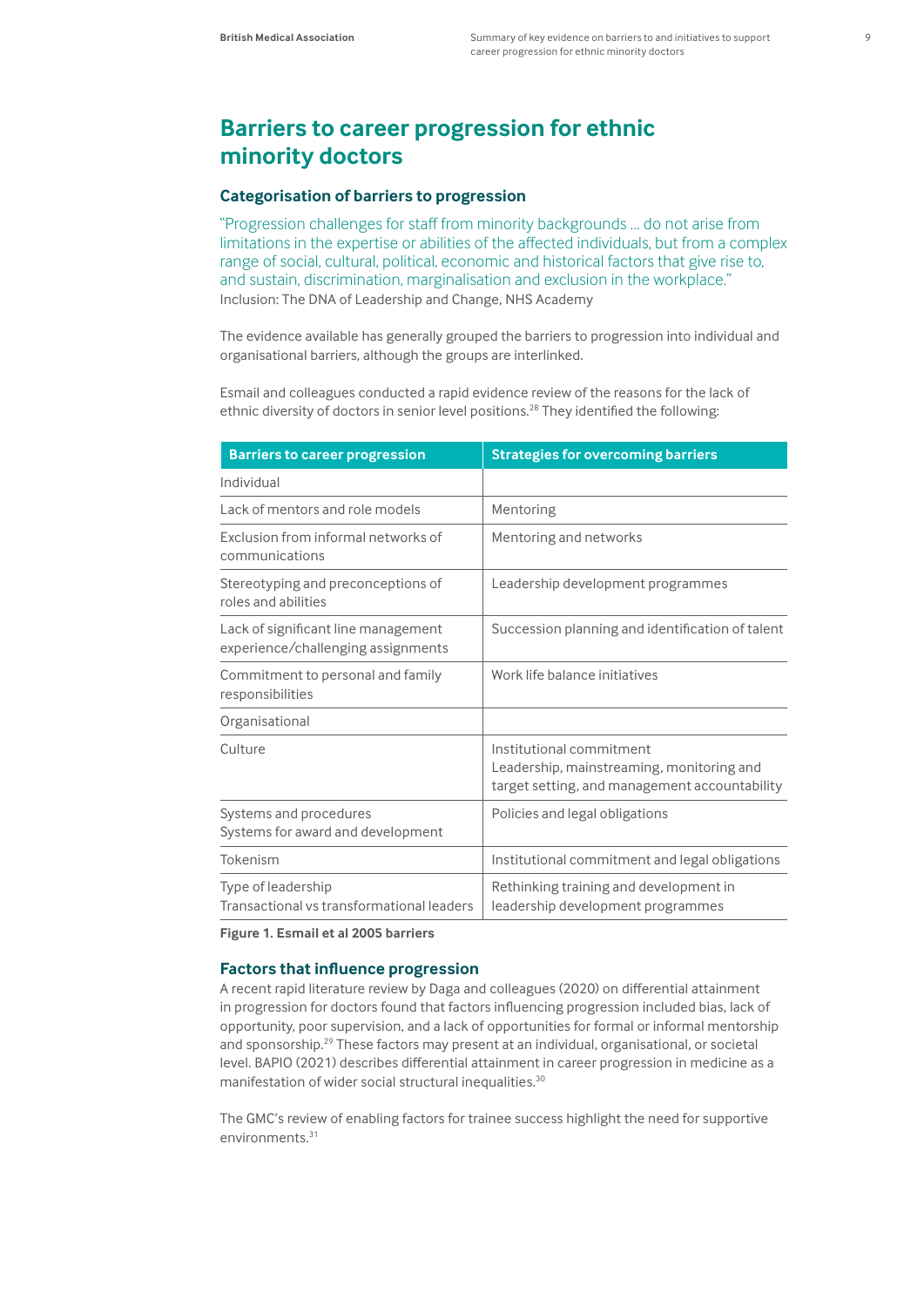### **Barriers to career progression for ethnic minority doctors**

#### **Categorisation of barriers to progression**

"Progression challenges for staff from minority backgrounds … do not arise from limitations in the expertise or abilities of the affected individuals, but from a complex range of social, cultural, political, economic and historical factors that give rise to, and sustain, discrimination, marginalisation and exclusion in the workplace." Inclusion: The DNA of Leadership and Change, NHS Academy

The evidence available has generally grouped the barriers to progression into individual and organisational barriers, although the groups are interlinked.

Esmail and colleagues conducted a rapid evidence review of the reasons for the lack of ethnic diversity of doctors in senior level positions.<sup>28</sup> They identified the following:

| <b>Barriers to career progression</b>                                     | <b>Strategies for overcoming barriers</b>                                                                              |
|---------------------------------------------------------------------------|------------------------------------------------------------------------------------------------------------------------|
| Individual                                                                |                                                                                                                        |
| Lack of mentors and role models                                           | Mentoring                                                                                                              |
| Exclusion from informal networks of<br>communications                     | Mentoring and networks                                                                                                 |
| Stereotyping and preconceptions of<br>roles and abilities                 | Leadership development programmes                                                                                      |
| Lack of significant line management<br>experience/challenging assignments | Succession planning and identification of talent                                                                       |
| Commitment to personal and family<br>responsibilities                     | Work life balance initiatives                                                                                          |
| Organisational                                                            |                                                                                                                        |
| Culture                                                                   | Institutional commitment<br>Leadership, mainstreaming, monitoring and<br>target setting, and management accountability |
| Systems and procedures<br>Systems for award and development               | Policies and legal obligations                                                                                         |
| Tokenism                                                                  | Institutional commitment and legal obligations                                                                         |
| Type of leadership<br>Transactional vs transformational leaders           | Rethinking training and development in<br>leadership development programmes                                            |

**Figure 1. Esmail et al 2005 barriers** 

#### **Factors that influence progression**

A recent rapid literature review by Daga and colleagues (2020) on differential attainment in progression for doctors found that factors influencing progression included bias, lack of opportunity, poor supervision, and a lack of opportunities for formal or informal mentorship and sponsorship.29 These factors may present at an individual, organisational, or societal level. BAPIO (2021) describes differential attainment in career progression in medicine as a manifestation of wider social structural inequalities.<sup>30</sup>

The GMC's review of enabling factors for trainee success highlight the need for supportive environments.<sup>31</sup>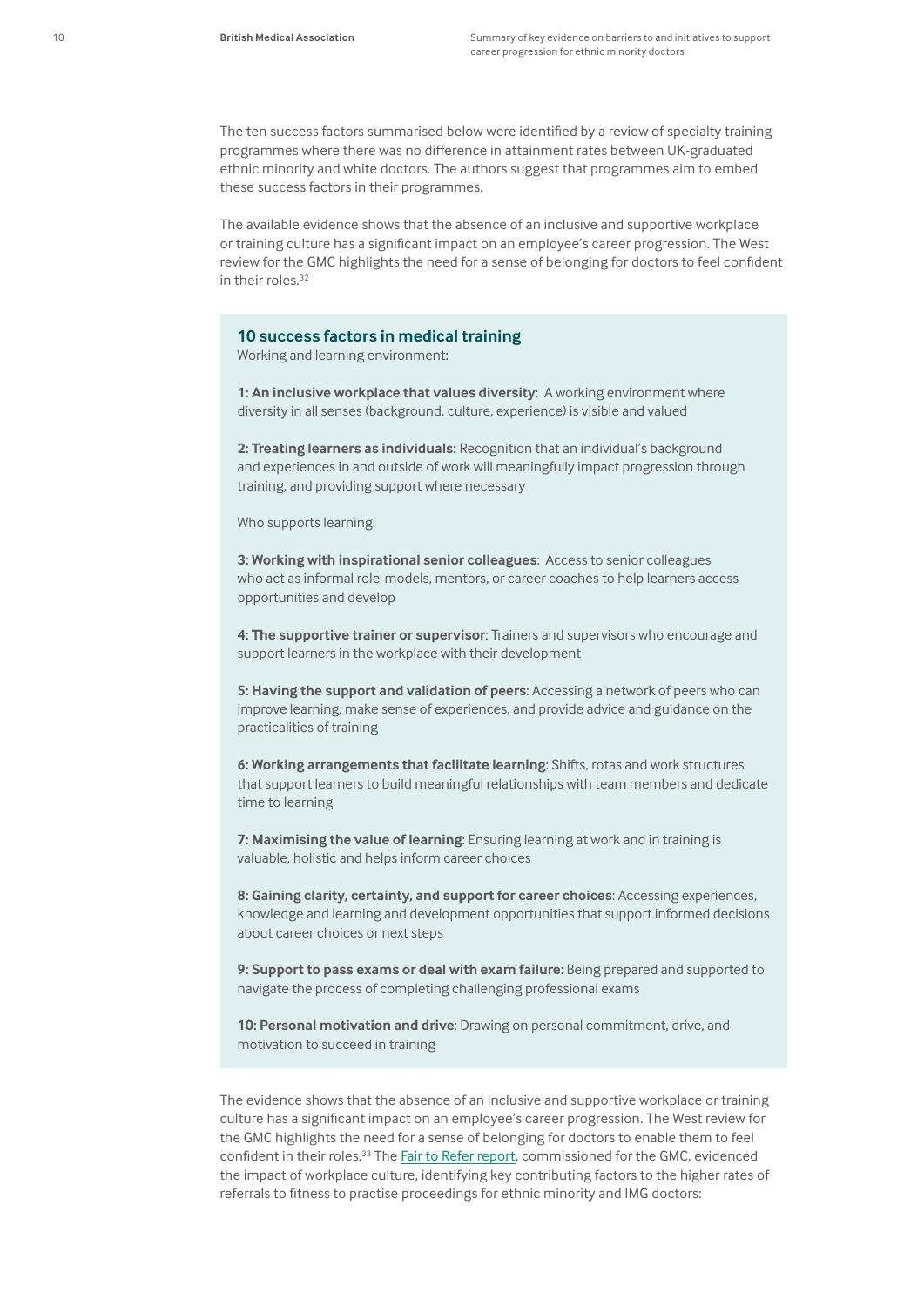The ten success factors summarised below were identified by a review of specialty training programmes where there was no difference in attainment rates between UK-graduated ethnic minority and white doctors. The authors suggest that programmes aim to embed these success factors in their programmes.

The available evidence shows that the absence of an inclusive and supportive workplace or training culture has a significant impact on an employee's career progression. The West review for the GMC highlights the need for a sense of belonging for doctors to feel confident in their roles.<sup>32</sup>

#### **10 success factors in medical training**

Working and learning environment:

**1: An inclusive workplace that values diversity**: A working environment where diversity in all senses (background, culture, experience) is visible and valued

**2: Treating learners as individuals:** Recognition that an individual's background and experiences in and outside of work will meaningfully impact progression through training, and providing support where necessary

Who supports learning:

**3: Working with inspirational senior colleagues**: Access to senior colleagues who act as informal role-models, mentors, or career coaches to help learners access opportunities and develop

**4: The supportive trainer or supervisor**: Trainers and supervisors who encourage and support learners in the workplace with their development

**5: Having the support and validation of peers**: Accessing a network of peers who can improve learning, make sense of experiences, and provide advice and guidance on the practicalities of training

**6: Working arrangements that facilitate learning**: Shifts, rotas and work structures that support learners to build meaningful relationships with team members and dedicate time to learning

**7: Maximising the value of learning**: Ensuring learning at work and in training is valuable, holistic and helps inform career choices

**8: Gaining clarity, certainty, and support for career choices**: Accessing experiences, knowledge and learning and development opportunities that support informed decisions about career choices or next steps

**9: Support to pass exams or deal with exam failure**: Being prepared and supported to navigate the process of completing challenging professional exams

**10: Personal motivation and drive**: Drawing on personal commitment, drive, and motivation to succeed in training

The evidence shows that the absence of an inclusive and supportive workplace or training culture has a significant impact on an employee's career progression. The West review for the GMC highlights the need for a sense of belonging for doctors to enable them to feel confident in their roles.<sup>33</sup> The [Fair to Refer report](https://www.gmc-uk.org/about/what-we-do-and-why/data-and-research/research-and-insight-archive/fair-to-refer), commissioned for the GMC, evidenced the impact of workplace culture, identifying key contributing factors to the higher rates of referrals to fitness to practise proceedings for ethnic minority and IMG doctors: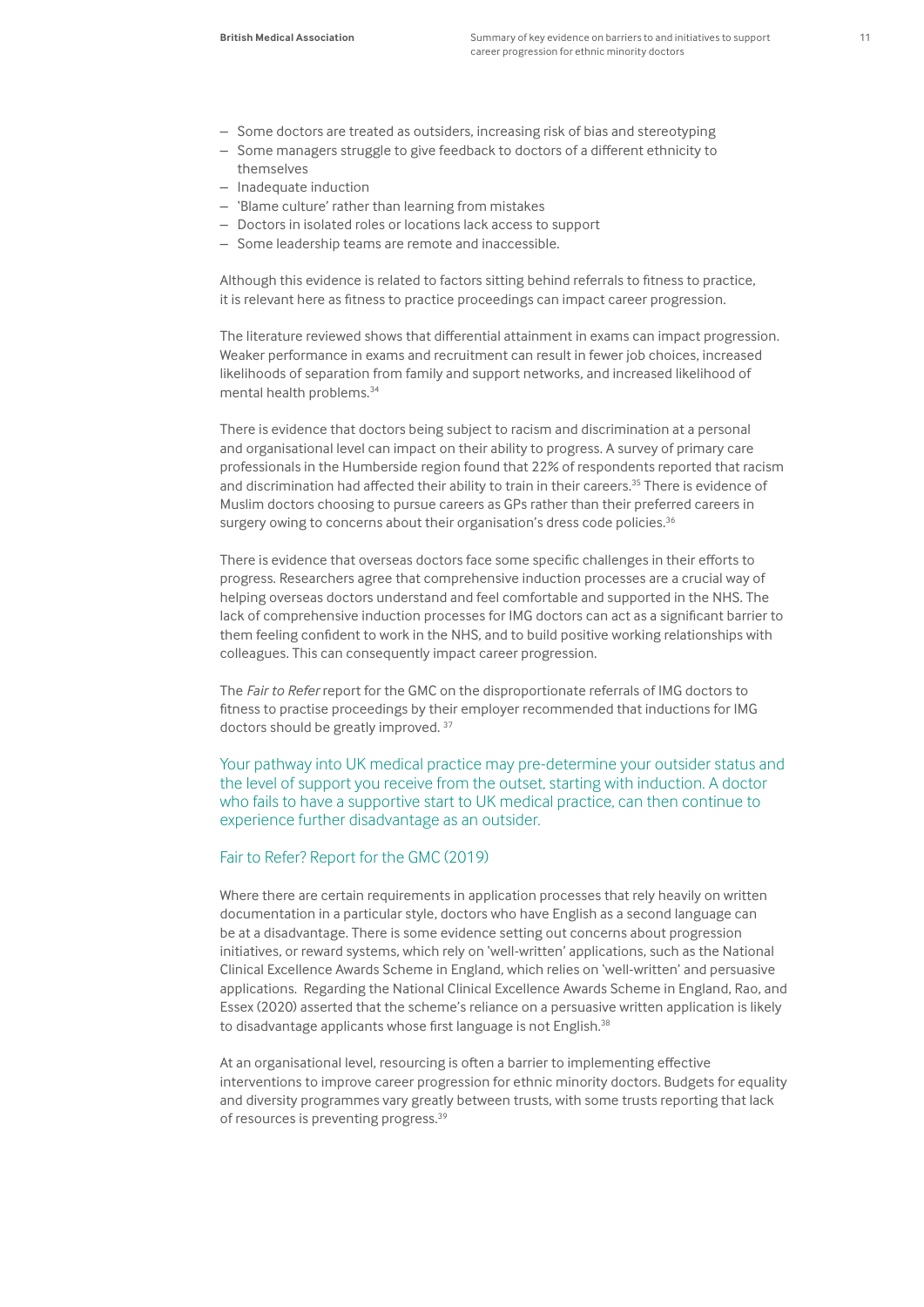- Some doctors are treated as outsiders, increasing risk of bias and stereotyping
- Some managers struggle to give feedback to doctors of a different ethnicity to themselves
- Inadequate induction
- 'Blame culture' rather than learning from mistakes
- Doctors in isolated roles or locations lack access to support
- Some leadership teams are remote and inaccessible.

Although this evidence is related to factors sitting behind referrals to fitness to practice, it is relevant here as fitness to practice proceedings can impact career progression.

The literature reviewed shows that differential attainment in exams can impact progression. Weaker performance in exams and recruitment can result in fewer job choices, increased likelihoods of separation from family and support networks, and increased likelihood of mental health problems.34

There is evidence that doctors being subject to racism and discrimination at a personal and organisational level can impact on their ability to progress. A survey of primary care professionals in the Humberside region found that 22% of respondents reported that racism and discrimination had affected their ability to train in their careers.<sup>35</sup> There is evidence of Muslim doctors choosing to pursue careers as GPs rather than their preferred careers in surgery owing to concerns about their organisation's dress code policies.<sup>36</sup>

There is evidence that overseas doctors face some specific challenges in their efforts to progress. Researchers agree that comprehensive induction processes are a crucial way of helping overseas doctors understand and feel comfortable and supported in the NHS. The lack of comprehensive induction processes for IMG doctors can act as a significant barrier to them feeling confident to work in the NHS, and to build positive working relationships with colleagues. This can consequently impact career progression.

The *Fair to Refer* report for the GMC on the disproportionate referrals of IMG doctors to fitness to practise proceedings by their employer recommended that inductions for IMG doctors should be greatly improved. 37

Your pathway into UK medical practice may pre-determine your outsider status and the level of support you receive from the outset, starting with induction. A doctor who fails to have a supportive start to UK medical practice, can then continue to experience further disadvantage as an outsider.

#### Fair to Refer? Report for the GMC (2019)

Where there are certain requirements in application processes that rely heavily on written documentation in a particular style, doctors who have English as a second language can be at a disadvantage. There is some evidence setting out concerns about progression initiatives, or reward systems, which rely on 'well-written' applications, such as the National Clinical Excellence Awards Scheme in England, which relies on 'well-written' and persuasive applications. Regarding the National Clinical Excellence Awards Scheme in England, Rao, and Essex (2020) asserted that the scheme's reliance on a persuasive written application is likely to disadvantage applicants whose first language is not English.<sup>38</sup>

At an organisational level, resourcing is often a barrier to implementing effective interventions to improve career progression for ethnic minority doctors. Budgets for equality and diversity programmes vary greatly between trusts, with some trusts reporting that lack of resources is preventing progress.39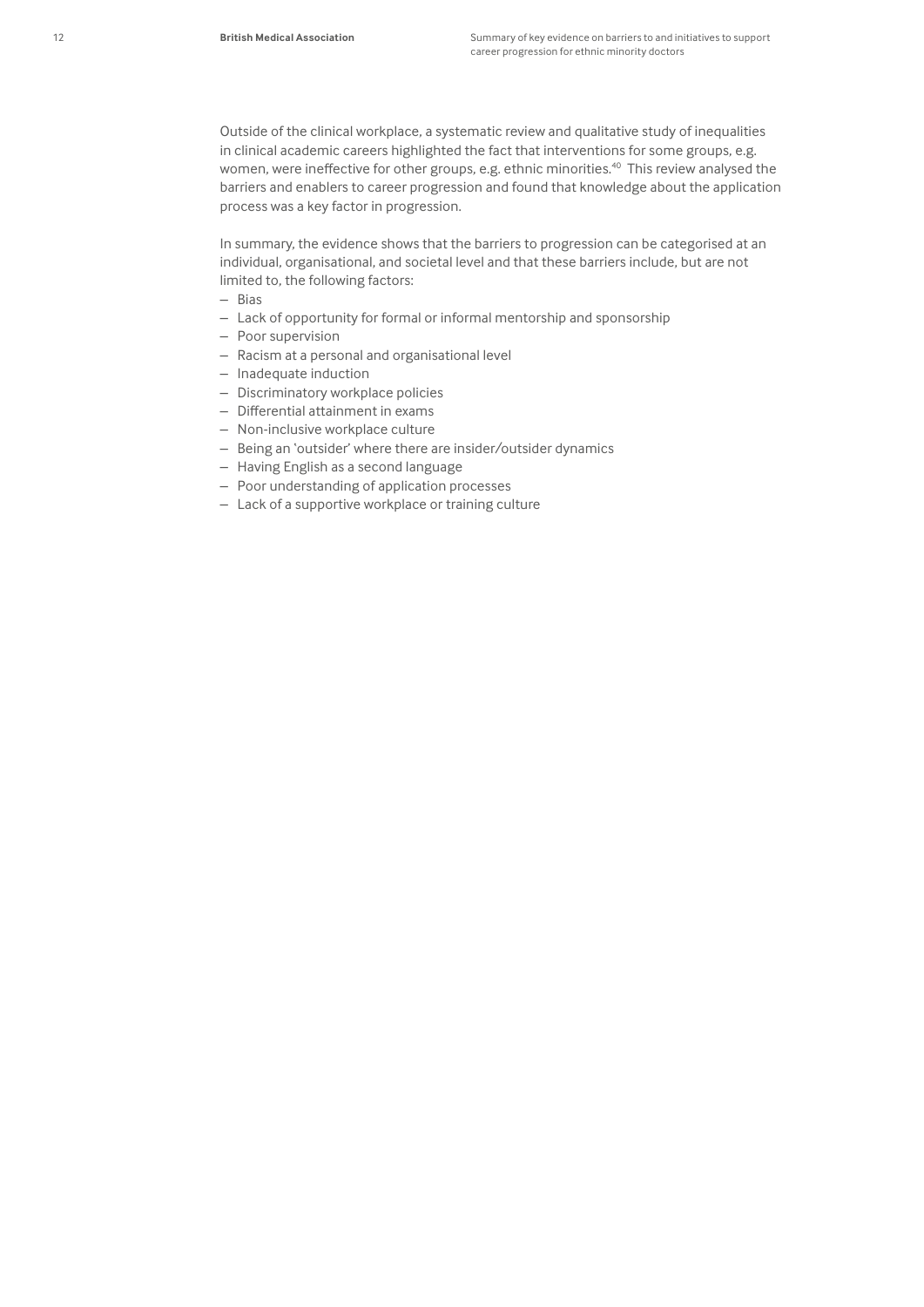Outside of the clinical workplace, a systematic review and qualitative study of inequalities in clinical academic careers highlighted the fact that interventions for some groups, e.g. women, were ineffective for other groups, e.g. ethnic minorities.<sup>40</sup> This review analysed the barriers and enablers to career progression and found that knowledge about the application process was a key factor in progression.

In summary, the evidence shows that the barriers to progression can be categorised at an individual, organisational, and societal level and that these barriers include, but are not limited to, the following factors:

- Bias
- Lack of opportunity for formal or informal mentorship and sponsorship
- Poor supervision
- Racism at a personal and organisational level
- Inadequate induction
- Discriminatory workplace policies
- Differential attainment in exams
- Non-inclusive workplace culture
- Being an 'outsider' where there are insider/outsider dynamics
- Having English as a second language
- Poor understanding of application processes
- Lack of a supportive workplace or training culture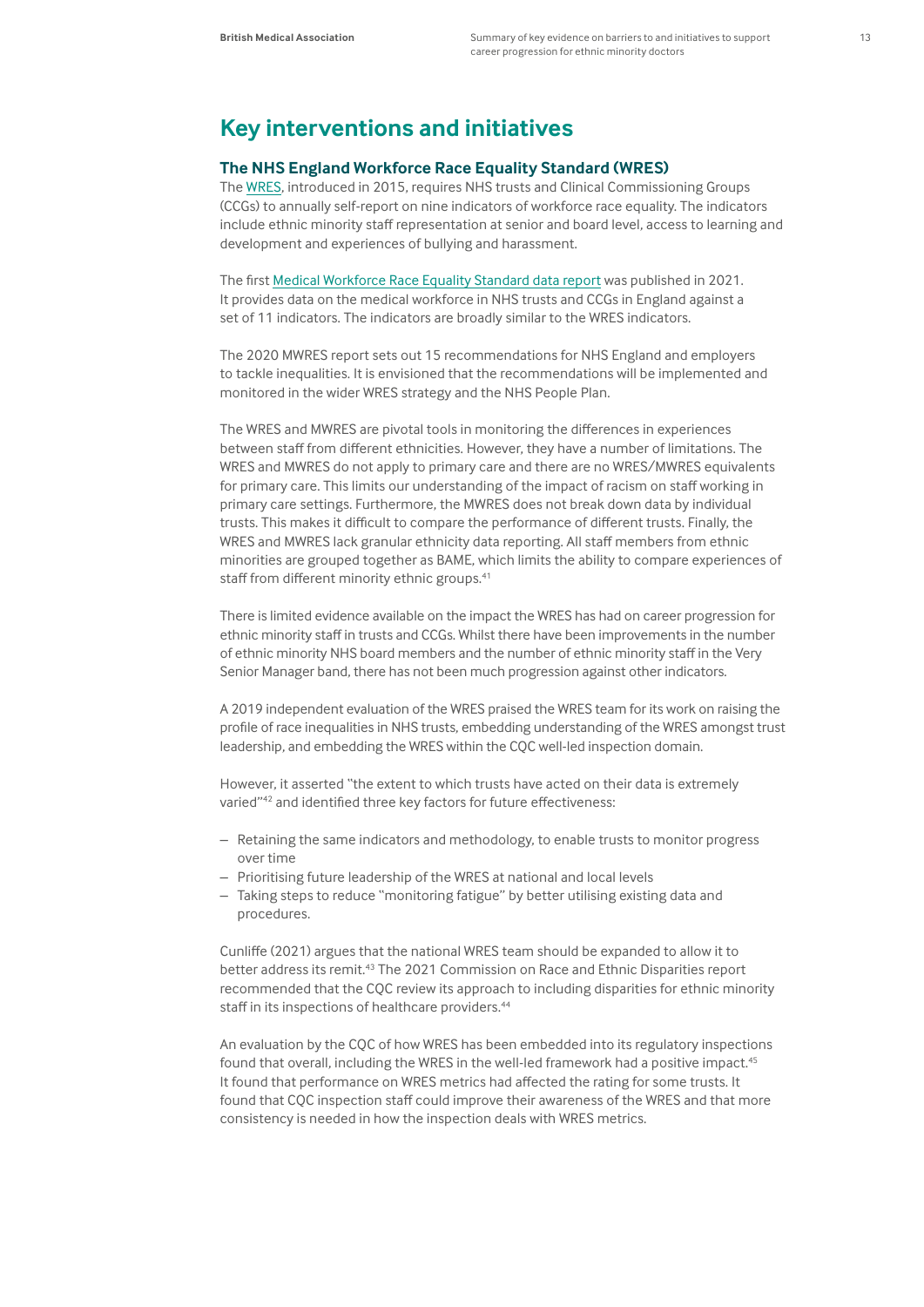## **Key interventions and initiatives**

#### **The NHS England Workforce Race Equality Standard (WRES)**

The [WRES](https://www.england.nhs.uk/about/equality/equality-hub/equality-standard/), introduced in 2015, requires NHS trusts and Clinical Commissioning Groups (CCGs) to annually self-report on nine indicators of workforce race equality. The indicators include ethnic minority staff representation at senior and board level, access to learning and development and experiences of bullying and harassment.

The first [Medical Workforce Race Equality Standard data report](https://www.england.nhs.uk/about/equality/equality-hub/equality-standard/medical-workforce-race-equality-standard-2020-data-report/) was published in 2021. It provides data on the medical workforce in NHS trusts and CCGs in England against a set of 11 indicators. The indicators are broadly similar to the WRES indicators.

The 2020 MWRES report sets out 15 recommendations for NHS England and employers to tackle inequalities. It is envisioned that the recommendations will be implemented and monitored in the wider WRES strategy and the NHS People Plan.

The WRES and MWRES are pivotal tools in monitoring the differences in experiences between staff from different ethnicities. However, they have a number of limitations. The WRES and MWRES do not apply to primary care and there are no WRES/MWRES equivalents for primary care. This limits our understanding of the impact of racism on staff working in primary care settings. Furthermore, the MWRES does not break down data by individual trusts. This makes it difficult to compare the performance of different trusts. Finally, the WRES and MWRES lack granular ethnicity data reporting. All staff members from ethnic minorities are grouped together as BAME, which limits the ability to compare experiences of staff from different minority ethnic groups.<sup>41</sup>

There is limited evidence available on the impact the WRES has had on career progression for ethnic minority staff in trusts and CCGs. Whilst there have been improvements in the number of ethnic minority NHS board members and the number of ethnic minority staff in the Very Senior Manager band, there has not been much progression against other indicators.

A 2019 independent evaluation of the WRES praised the WRES team for its work on raising the profile of race inequalities in NHS trusts, embedding understanding of the WRES amongst trust leadership, and embedding the WRES within the CQC well-led inspection domain.

However, it asserted "the extent to which trusts have acted on their data is extremely varied"42 and identified three key factors for future effectiveness:

- Retaining the same indicators and methodology, to enable trusts to monitor progress over time
- Prioritising future leadership of the WRES at national and local levels
- Taking steps to reduce "monitoring fatigue" by better utilising existing data and procedures.

Cunliffe (2021) argues that the national WRES team should be expanded to allow it to better address its remit.43 The 2021 Commission on Race and Ethnic Disparities report recommended that the CQC review its approach to including disparities for ethnic minority staff in its inspections of healthcare providers.<sup>44</sup>

An evaluation by the CQC of how WRES has been embedded into its regulatory inspections found that overall, including the WRES in the well-led framework had a positive impact.<sup>45</sup> It found that performance on WRES metrics had affected the rating for some trusts. It found that CQC inspection staff could improve their awareness of the WRES and that more consistency is needed in how the inspection deals with WRES metrics.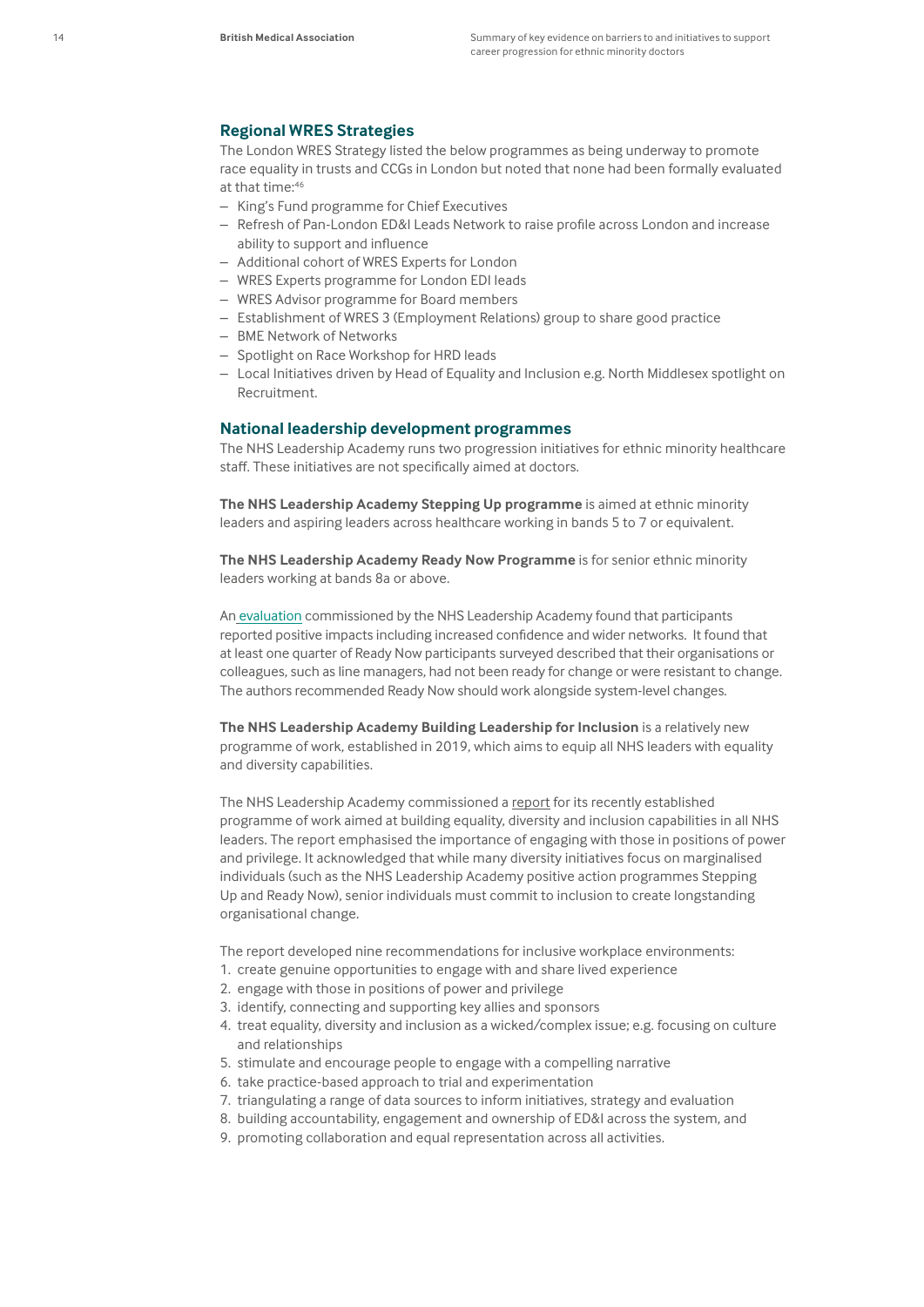#### **Regional WRES Strategies**

The London WRES Strategy listed the below programmes as being underway to promote race equality in trusts and CCGs in London but noted that none had been formally evaluated at that time:<sup>46</sup>

- King's Fund programme for Chief Executives
- Refresh of Pan-London ED&I Leads Network to raise profile across London and increase ability to support and influence
- Additional cohort of WRES Experts for London
- WRES Experts programme for London EDI leads
- WRES Advisor programme for Board members
- Establishment of WRES 3 (Employment Relations) group to share good practice
- BME Network of Networks
- Spotlight on Race Workshop for HRD leads
- Local Initiatives driven by Head of Equality and Inclusion e.g. North Middlesex spotlight on Recruitment.

#### **National leadership development programmes**

The NHS Leadership Academy runs two progression initiatives for ethnic minority healthcare staff. These initiatives are not specifically aimed at doctors.

**The NHS Leadership Academy [Stepping Up programme](https://www.leadershipacademy.nhs.uk/programmes/the-stepping-up-programme/)** is aimed at ethnic minority leaders and aspiring leaders across healthcare working in bands 5 to 7 or equivalent.

**The NHS Leadership Academy [Ready Now Programme](https://www.leadershipacademy.nhs.uk/programmes/the-ready-now-programme/)** is for senior ethnic minority leaders working at bands 8a or above.

An [evaluation](https://traverse.ltd/recent-work/case-studies/nhs-leadership-academy-evaluation-ready-now) commissioned by the NHS Leadership Academy found that participants reported positive impacts including increased confidence and wider networks. It found that at least one quarter of Ready Now participants surveyed described that their organisations or colleagues, such as line managers, had not been ready for change or were resistant to change. The authors recommended Ready Now should work alongside system-level changes.

**The NHS Leadership Academy Building Leadership for Inclusion** is a relatively new programme of work, established in 2019, which aims to equip all NHS leaders with equality and diversity capabilities.

The NHS Leadership Academy commissioned a [report](https://www.leadershipacademy.nhs.uk/resources/inclusion-equality-and-diversity/blfi-2/) for its recently established programme of work aimed at building equality, diversity and inclusion capabilities in all NHS leaders. The report emphasised the importance of engaging with those in positions of power and privilege. It acknowledged that while many diversity initiatives focus on marginalised individuals (such as the NHS Leadership Academy positive action programmes Stepping Up and Ready Now), senior individuals must commit to inclusion to create longstanding organisational change.

The report developed nine recommendations for inclusive workplace environments:

- 1. create genuine opportunities to engage with and share lived experience
- 2. engage with those in positions of power and privilege
- 3. identify, connecting and supporting key allies and sponsors
- 4. treat equality, diversity and inclusion as a wicked/complex issue; e.g. focusing on culture and relationships
- 5. stimulate and encourage people to engage with a compelling narrative
- 6. take practice-based approach to trial and experimentation
- 7. triangulating a range of data sources to inform initiatives, strategy and evaluation
- 8. building accountability, engagement and ownership of ED&I across the system, and
- 9. promoting collaboration and equal representation across all activities.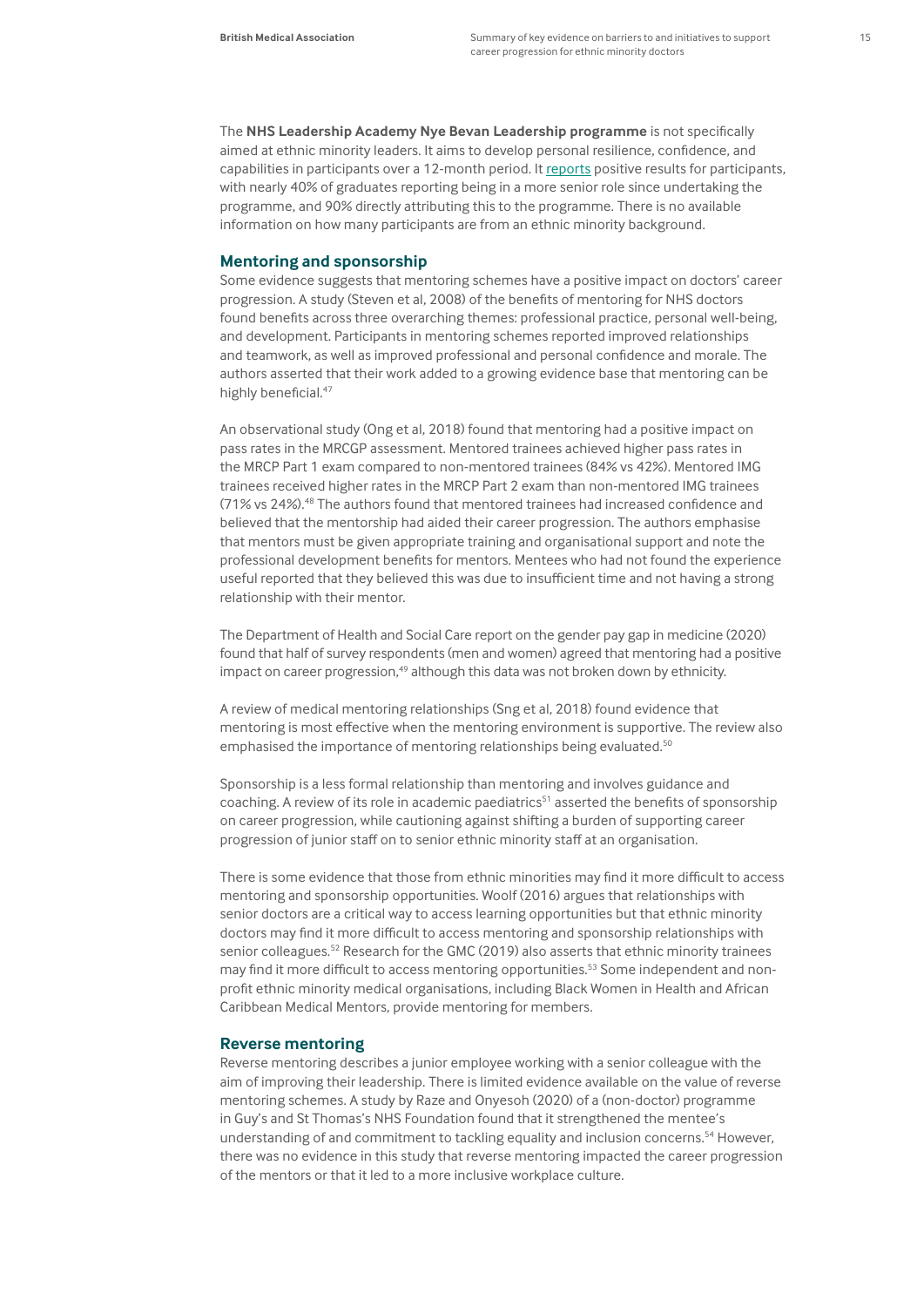The **[NHS Leadership Academy Nye Bevan Leadership programme](https://www.leadershipacademy.nhs.uk/programmes/nye-bevan-programme/)** is not specifically aimed at ethnic minority leaders. It aims to develop personal resilience, confidence, and capabilities in participants over a 12-month period. It [reports](https://www.leadershipacademy.nhs.uk/programmes/nye-bevan-programme/) positive results for participants, with nearly 40% of graduates reporting being in a more senior role since undertaking the programme, and 90% directly attributing this to the programme. There is no available information on how many participants are from an ethnic minority background.

#### **Mentoring and sponsorship**

Some evidence suggests that mentoring schemes have a positive impact on doctors' career progression. A study (Steven et al, 2008) of the benefits of mentoring for NHS doctors found benefits across three overarching themes: professional practice, personal well-being, and development. Participants in mentoring schemes reported improved relationships and teamwork, as well as improved professional and personal confidence and morale. The authors asserted that their work added to a growing evidence base that mentoring can be highly beneficial.<sup>47</sup>

An observational study (Ong et al, 2018) found that mentoring had a positive impact on pass rates in the MRCGP assessment. Mentored trainees achieved higher pass rates in the MRCP Part 1 exam compared to non-mentored trainees (84% vs 42%). Mentored IMG trainees received higher rates in the MRCP Part 2 exam than non-mentored IMG trainees (71% vs 24%).48 The authors found that mentored trainees had increased confidence and believed that the mentorship had aided their career progression. The authors emphasise that mentors must be given appropriate training and organisational support and note the professional development benefits for mentors. Mentees who had not found the experience useful reported that they believed this was due to insufficient time and not having a strong relationship with their mentor.

The Department of Health and Social Care report on the gender pay gap in medicine (2020) found that half of survey respondents (men and women) agreed that mentoring had a positive impact on career progression, $49$  although this data was not broken down by ethnicity.

A review of medical mentoring relationships (Sng et al, 2018) found evidence that mentoring is most effective when the mentoring environment is supportive. The review also emphasised the importance of mentoring relationships being evaluated.<sup>50</sup>

Sponsorship is a less formal relationship than mentoring and involves guidance and coaching. A review of its role in academic paediatrics<sup>51</sup> asserted the benefits of sponsorship on career progression, while cautioning against shifting a burden of supporting career progression of junior staff on to senior ethnic minority staff at an organisation.

There is some evidence that those from ethnic minorities may find it more difficult to access mentoring and sponsorship opportunities. Woolf (2016) argues that relationships with senior doctors are a critical way to access learning opportunities but that ethnic minority doctors may find it more difficult to access mentoring and sponsorship relationships with senior colleagues.<sup>52</sup> Research for the GMC (2019) also asserts that ethnic minority trainees may find it more difficult to access mentoring opportunities.<sup>53</sup> Some independent and nonprofit ethnic minority medical organisations, including Black Women in Health and African Caribbean Medical Mentors, provide mentoring for members.

#### **Reverse mentoring**

Reverse mentoring describes a junior employee working with a senior colleague with the aim of improving their leadership. There is limited evidence available on the value of reverse mentoring schemes. A study by Raze and Onyesoh (2020) of a (non-doctor) programme in Guy's and St Thomas's NHS Foundation found that it strengthened the mentee's understanding of and commitment to tackling equality and inclusion concerns.<sup>54</sup> However, there was no evidence in this study that reverse mentoring impacted the career progression of the mentors or that it led to a more inclusive workplace culture.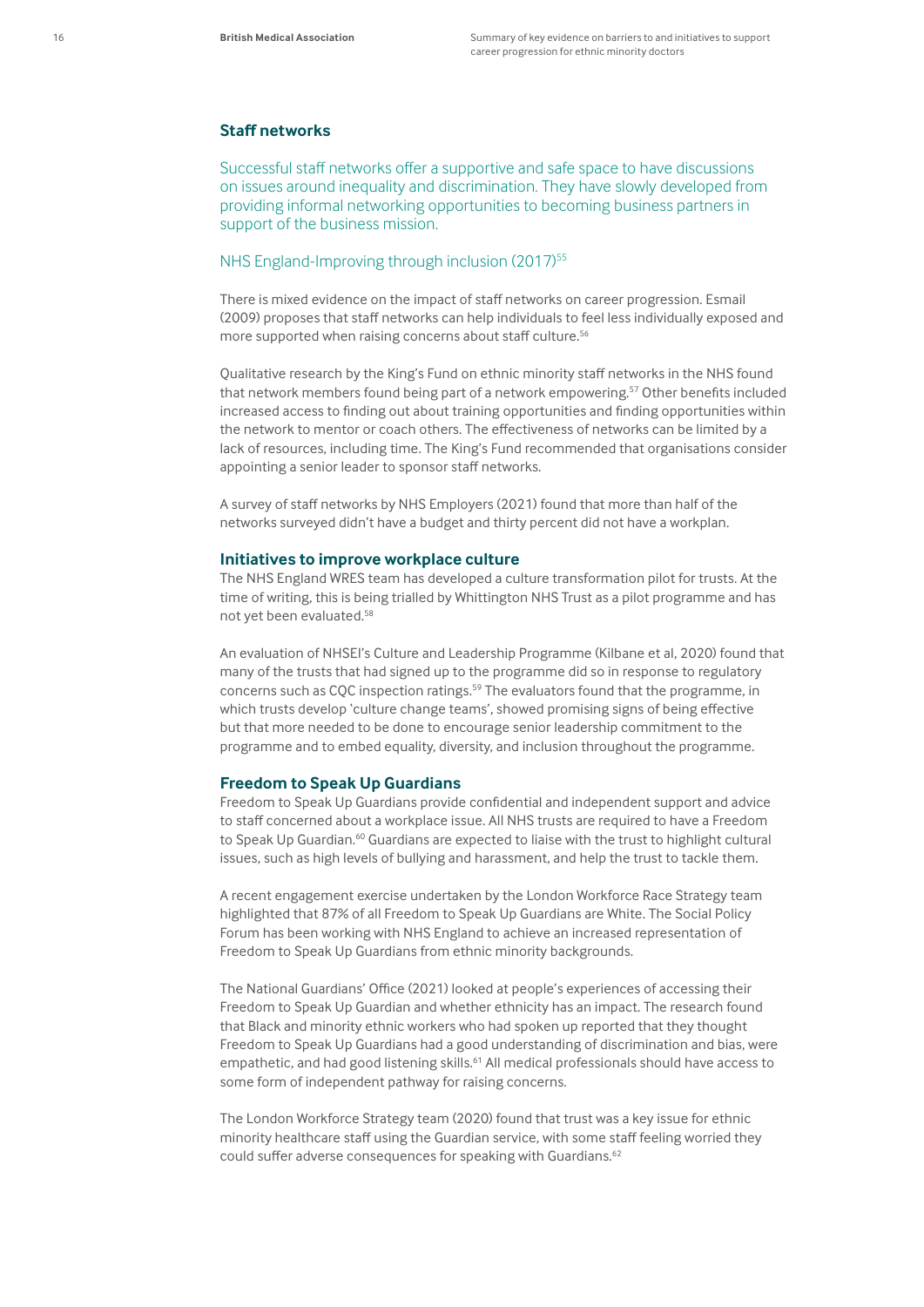#### **Staff networks**

Successful staff networks offer a supportive and safe space to have discussions on issues around inequality and discrimination. They have slowly developed from providing informal networking opportunities to becoming business partners in support of the business mission.

#### NHS England-Improving through inclusion (2017)<sup>55</sup>

There is mixed evidence on the impact of staff networks on career progression. Esmail (2009) proposes that staff networks can help individuals to feel less individually exposed and more supported when raising concerns about staff culture.<sup>56</sup>

Qualitative research by the King's Fund on ethnic minority staff networks in the NHS found that network members found being part of a network empowering.57 Other benefits included increased access to finding out about training opportunities and finding opportunities within the network to mentor or coach others. The effectiveness of networks can be limited by a lack of resources, including time. The King's Fund recommended that organisations consider appointing a senior leader to sponsor staff networks.

A survey of staff networks by NHS Employers (2021) found that more than half of the networks surveyed didn't have a budget and thirty percent did not have a workplan.

#### **Initiatives to improve workplace culture**

The NHS England WRES team has developed a culture transformation pilot for trusts. At the time of writing, this is being trialled by Whittington NHS Trust as a pilot programme and has not yet been evaluated.<sup>58</sup>

An evaluation of NHSEI's Culture and Leadership Programme (Kilbane et al, 2020) found that many of the trusts that had signed up to the programme did so in response to regulatory concerns such as CQC inspection ratings.59 The evaluators found that the programme, in which trusts develop 'culture change teams', showed promising signs of being effective but that more needed to be done to encourage senior leadership commitment to the programme and to embed equality, diversity, and inclusion throughout the programme.

#### **Freedom to Speak Up Guardians**

Freedom to Speak Up Guardians provide confidential and independent support and advice to staff concerned about a workplace issue. All NHS trusts are required to have a Freedom to Speak Up Guardian.<sup>60</sup> Guardians are expected to liaise with the trust to highlight cultural issues, such as high levels of bullying and harassment, and help the trust to tackle them.

A recent engagement exercise undertaken by the London Workforce Race Strategy team highlighted that 87% of all Freedom to Speak Up Guardians are White. The Social Policy Forum has been working with NHS England to achieve an increased representation of Freedom to Speak Up Guardians from ethnic minority backgrounds.

The National Guardians' Office (2021) looked at people's experiences of accessing their Freedom to Speak Up Guardian and whether ethnicity has an impact. The research found that Black and minority ethnic workers who had spoken up reported that they thought Freedom to Speak Up Guardians had a good understanding of discrimination and bias, were empathetic, and had good listening skills.<sup>61</sup> All medical professionals should have access to some form of independent pathway for raising concerns.

The London Workforce Strategy team (2020) found that trust was a key issue for ethnic minority healthcare staff using the Guardian service, with some staff feeling worried they could suffer adverse consequences for speaking with Guardians.<sup>62</sup>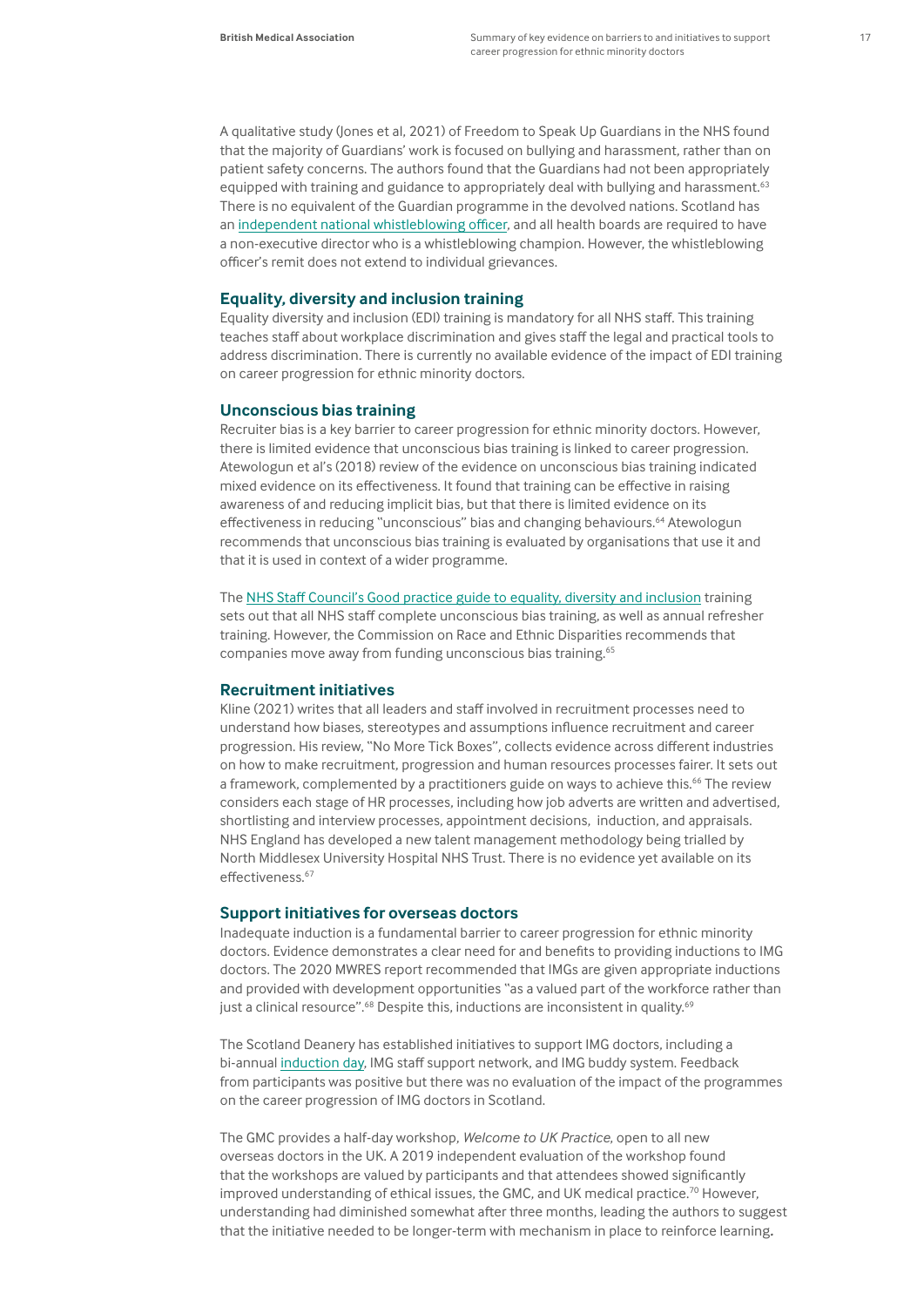A qualitative study (Jones et al, 2021) of Freedom to Speak Up Guardians in the NHS found that the majority of Guardians' work is focused on bullying and harassment, rather than on patient safety concerns. The authors found that the Guardians had not been appropriately equipped with training and guidance to appropriately deal with bullying and harassment.<sup>63</sup> There is no equivalent of the Guardian programme in the devolved nations. Scotland has an [independent national whistleblowing officer](https://inwo.spso.org.uk/nhs-organisations), and all health boards are required to have a non-executive director who is a whistleblowing champion. However, the whistleblowing officer's remit does not extend to individual grievances.

#### **Equality, diversity and inclusion training**

Equality diversity and inclusion (EDI) training is mandatory for all NHS staff. This training teaches staff about workplace discrimination and gives staff the legal and practical tools to address discrimination. There is currently no available evidence of the impact of EDI training on career progression for ethnic minority doctors.

#### **Unconscious bias training**

Recruiter bias is a key barrier to career progression for ethnic minority doctors. However, there is limited evidence that unconscious bias training is linked to career progression. Atewologun et al's (2018) review of the evidence on unconscious bias training indicated mixed evidence on its effectiveness. It found that training can be effective in raising awareness of and reducing implicit bias, but that there is limited evidence on its effectiveness in reducing "unconscious" bias and changing behaviours.64 Atewologun recommends that unconscious bias training is evaluated by organisations that use it and that it is used in context of a wider programme.

The [NHS Staff Council's Good practice guide to equality, diversity and inclusion](https://www.nhsemployers.org/sites/default/files/2021-10/NHS%20good%20practice%20guidance_Final.pdf) training sets out that all NHS staff complete unconscious bias training, as well as annual refresher training. However, the Commission on Race and Ethnic Disparities recommends that companies move away from funding unconscious bias training.<sup>65</sup>

#### **Recruitment initiatives**

Kline (2021) writes that all leaders and staff involved in recruitment processes need to understand how biases, stereotypes and assumptions influence recruitment and career progression. His review, "No More Tick Boxes", collects evidence across different industries on how to make recruitment, progression and human resources processes fairer. It sets out a framework, complemented by a practitioners guide on ways to achieve this.<sup>66</sup> The review considers each stage of HR processes, including how job adverts are written and advertised, shortlisting and interview processes, appointment decisions, induction, and appraisals. NHS England has developed a new talent management methodology being trialled by North Middlesex University Hospital NHS Trust. There is no evidence yet available on its effectiveness.<sup>67</sup>

#### **Support initiatives for overseas doctors**

Inadequate induction is a fundamental barrier to career progression for ethnic minority doctors. Evidence demonstrates a clear need for and benefits to providing inductions to IMG doctors. The 2020 MWRES report recommended that IMGs are given appropriate inductions and provided with development opportunities "as a valued part of the workforce rather than just a clinical resource".<sup>68</sup> Despite this, inductions are inconsistent in quality.<sup>69</sup>

The Scotland Deanery has established initiatives to support IMG doctors, including a bi-annual [induction day](https://www.scotlanddeanery.nhs.scot/trainee-information/international-medical-graduates-imgs/scottish-img-induction-day/), IMG staff support network, and IMG buddy system. Feedback from participants was positive but there was no evaluation of the impact of the programmes on the career progression of IMG doctors in Scotland.

The GMC provides a half-day workshop, *Welcome to UK Practice*, open to all new overseas doctors in the UK. A 2019 independent evaluation of the workshop found that the workshops are valued by participants and that attendees showed significantly improved understanding of ethical issues, the GMC, and UK medical practice.<sup>70</sup> However, understanding had diminished somewhat after three months, leading the authors to suggest that the initiative needed to be longer-term with mechanism in place to reinforce learning*.*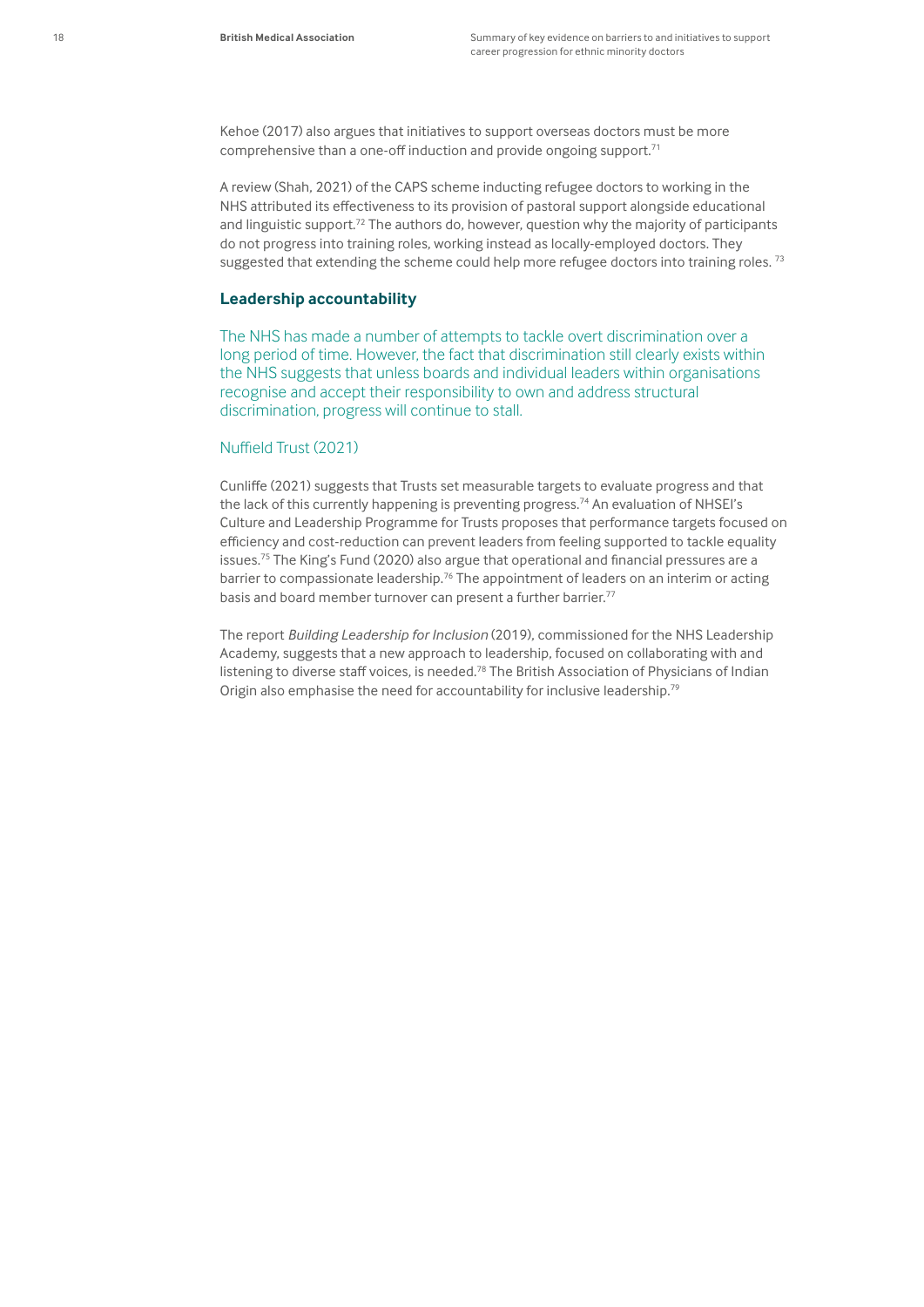Kehoe (2017) also argues that initiatives to support overseas doctors must be more comprehensive than a one-off induction and provide ongoing support.<sup>71</sup>

A review (Shah, 2021) of the CAPS scheme inducting refugee doctors to working in the NHS attributed its effectiveness to its provision of pastoral support alongside educational and linguistic support.<sup>72</sup> The authors do, however, question why the majority of participants do not progress into training roles, working instead as locally-employed doctors. They suggested that extending the scheme could help more refugee doctors into training roles.  $73$ 

#### **Leadership accountability**

The NHS has made a number of attempts to tackle overt discrimination over a long period of time. However, the fact that discrimination still clearly exists within the NHS suggests that unless boards and individual leaders within organisations recognise and accept their responsibility to own and address structural discrimination, progress will continue to stall.

#### Nuffield Trust (2021)

Cunliffe (2021) suggests that Trusts set measurable targets to evaluate progress and that the lack of this currently happening is preventing progress.<sup>74</sup> An evaluation of NHSEI's Culture and Leadership Programme for Trusts proposes that performance targets focused on efficiency and cost-reduction can prevent leaders from feeling supported to tackle equality issues.75 The King's Fund (2020) also argue that operational and financial pressures are a barrier to compassionate leadership.<sup>76</sup> The appointment of leaders on an interim or acting basis and board member turnover can present a further barrier.<sup>77</sup>

The report *Building Leadership for Inclusion* (2019), commissioned for the NHS Leadership Academy, suggests that a new approach to leadership, focused on collaborating with and listening to diverse staff voices, is needed.<sup>78</sup> The British Association of Physicians of Indian Origin also emphasise the need for accountability for inclusive leadership.79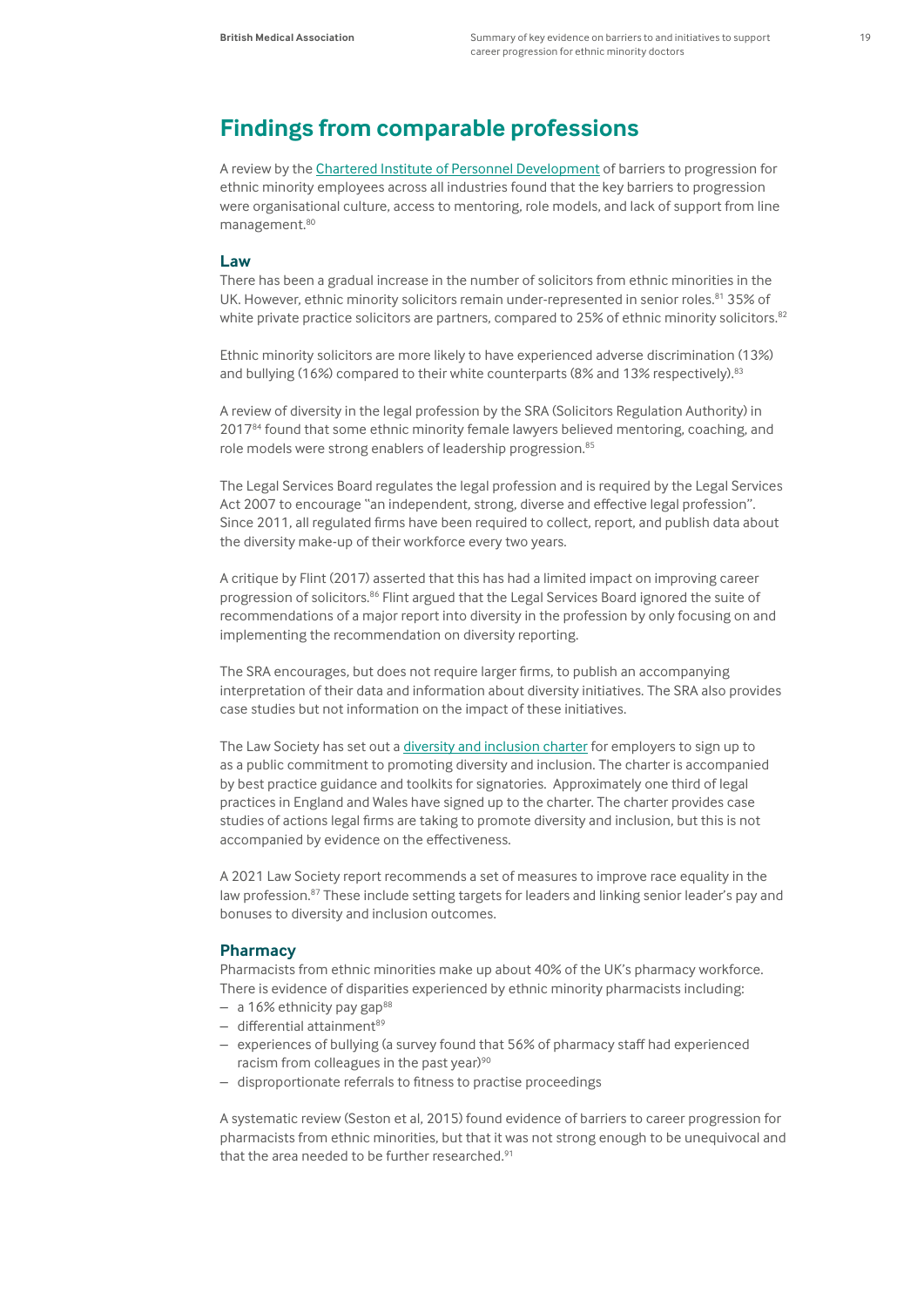## **Findings from comparable professions**

A review by the [Chartered Institute of Personnel Development](https://www.cipd.co.uk/Images/addressing-the-barriers-to-BAME-employee-career-progression-to-the-top_tcm18-33336.pdf) of barriers to progression for ethnic minority employees across all industries found that the key barriers to progression were organisational culture, access to mentoring, role models, and lack of support from line management.<sup>80</sup>

#### **Law**

There has been a gradual increase in the number of solicitors from ethnic minorities in the UK. However, ethnic minority solicitors remain under-represented in senior roles.<sup>81</sup> 35% of white private practice solicitors are partners, compared to 25% of ethnic minority solicitors.<sup>82</sup>

Ethnic minority solicitors are more likely to have experienced adverse discrimination (13%) and bullying (16%) compared to their white counterparts (8% and 13% respectively).<sup>83</sup>

A review of diversity in the legal profession by the SRA (Solicitors Regulation Authority) in 2017<sup>84</sup> found that some ethnic minority female lawyers believed mentoring, coaching, and role models were strong enablers of leadership progression.<sup>85</sup>

The Legal Services Board regulates the legal profession and is required by the Legal Services Act 2007 to encourage "an independent, strong, diverse and effective legal profession". Since 2011, all regulated firms have been required to collect, report, and publish data about the diversity make-up of their workforce every two years.

A critique by Flint (2017) asserted that this has had a limited impact on improving career progression of solicitors.<sup>86</sup> Flint argued that the Legal Services Board ignored the suite of recommendations of a major report into diversity in the profession by only focusing on and implementing the recommendation on diversity reporting.

The SRA encourages, but does not require larger firms, to publish an accompanying interpretation of their data and information about diversity initiatives. The SRA also provides case studies but not information on the impact of these initiatives.

The Law Society has set out a [diversity and inclusion charter](https://www.lawsociety.org.uk/campaigns/diversity-and-inclusion-charter) for employers to sign up to as a public commitment to promoting diversity and inclusion. The charter is accompanied by best practice guidance and toolkits for signatories. Approximately one third of legal practices in England and Wales have signed up to the charter. The charter provides case studies of actions legal firms are taking to promote diversity and inclusion, but this is not accompanied by evidence on the effectiveness.

A 2021 Law Society report recommends a set of measures to improve race equality in the law profession.<sup>87</sup> These include setting targets for leaders and linking senior leader's pay and bonuses to diversity and inclusion outcomes.

#### **Pharmacy**

Pharmacists from ethnic minorities make up about 40% of the UK's pharmacy workforce. There is evidence of disparities experienced by ethnic minority pharmacists including:

- $-$  a 16% ethnicity pay gap<sup>88</sup>
- $-$  differential attainment $89$
- experiences of bullying (a survey found that 56% of pharmacy staff had experienced racism from colleagues in the past year)<sup>90</sup>
- disproportionate referrals to fitness to practise proceedings

A systematic review (Seston et al, 2015) found evidence of barriers to career progression for pharmacists from ethnic minorities, but that it was not strong enough to be unequivocal and that the area needed to be further researched.<sup>91</sup>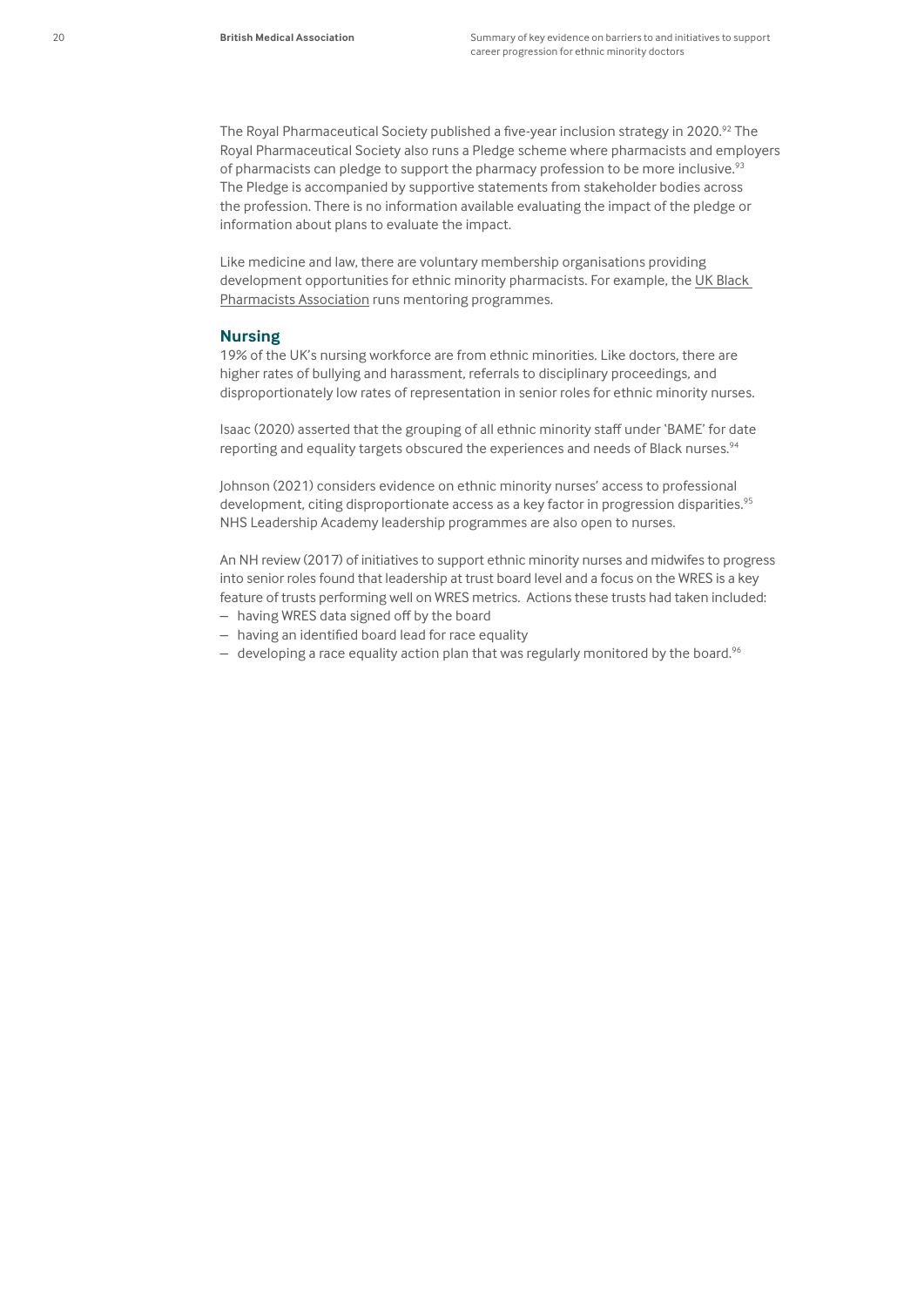The Royal Pharmaceutical Society published a five-year inclusion strategy in 2020.92 The Royal Pharmaceutical Society also runs a Pledge scheme where pharmacists and employers of pharmacists can pledge to support the pharmacy profession to be more inclusive.<sup>93</sup> The Pledge is accompanied by supportive statements from stakeholder bodies across the profession. There is no information available evaluating the impact of the pledge or information about plans to evaluate the impact.

Like medicine and law, there are voluntary membership organisations providing development opportunities for ethnic minority pharmacists. For example, the [UK Black](https://www.theukbpa.com/about)  [Pharmacists Association](https://www.theukbpa.com/about) runs mentoring programmes.

#### **Nursing**

19% of the UK's nursing workforce are from ethnic minorities. Like doctors, there are higher rates of bullying and harassment, referrals to disciplinary proceedings, and disproportionately low rates of representation in senior roles for ethnic minority nurses.

Isaac (2020) asserted that the grouping of all ethnic minority staff under 'BAME' for date reporting and equality targets obscured the experiences and needs of Black nurses.<sup>94</sup>

Johnson (2021) considers evidence on ethnic minority nurses' access to professional development, citing disproportionate access as a key factor in progression disparities.<sup>95</sup> NHS Leadership Academy leadership programmes are also open to nurses.

An NH review (2017) of initiatives to support ethnic minority nurses and midwifes to progress into senior roles found that leadership at trust board level and a focus on the WRES is a key feature of trusts performing well on WRES metrics. Actions these trusts had taken included:

- having WRES data signed off by the board
- having an identified board lead for race equality
- $-$  developing a race equality action plan that was regularly monitored by the board.<sup>96</sup>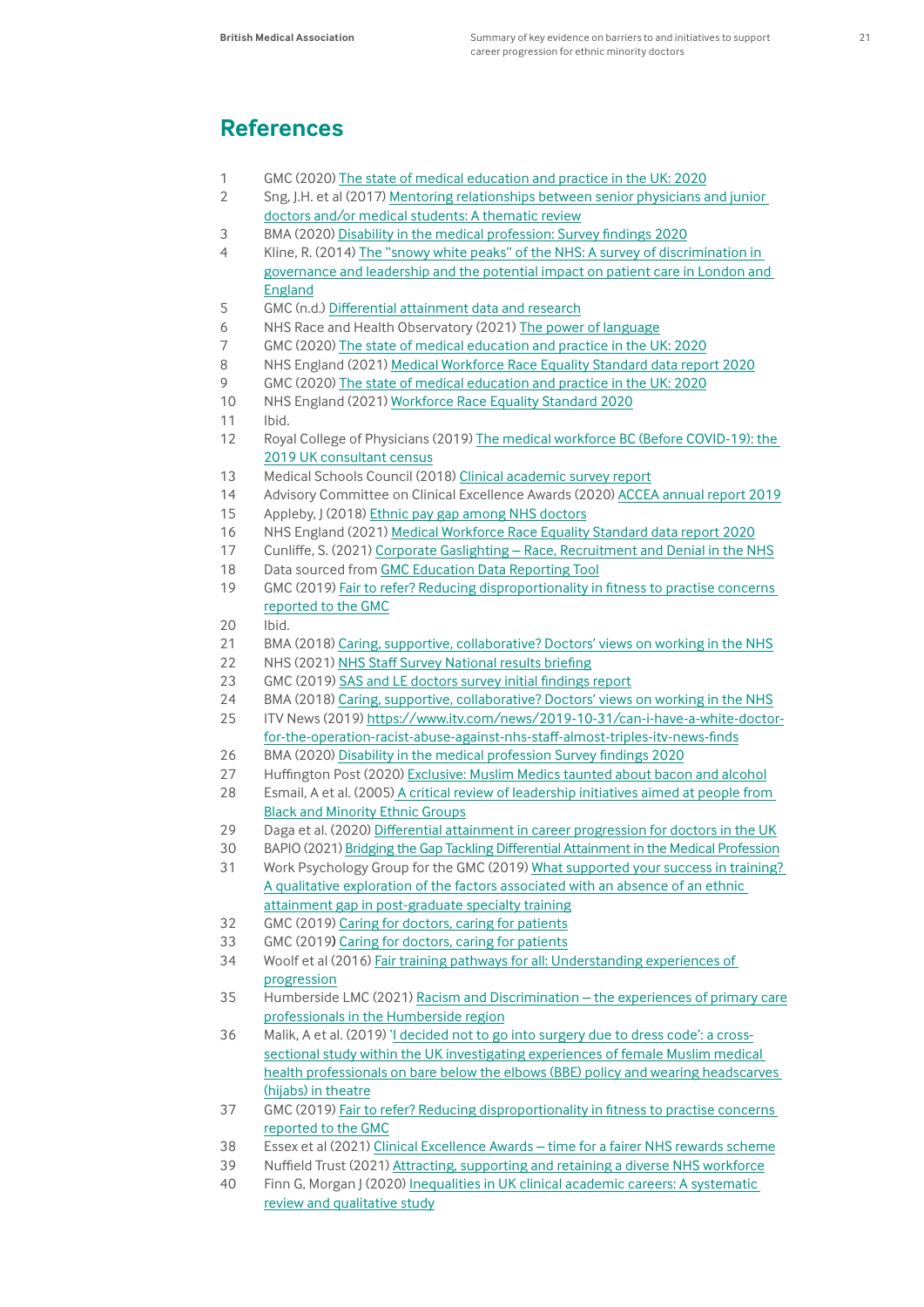## **References**

- 1 GMC (2020) [The state of medical education and practice in the UK: 2020](https://www.gmc-uk.org/-/media/documents/somep-2020_pdf-84684244.pdf)
- 2 Sng, J.H. et al (2017) [Mentoring relationships between senior physicians and junior](https://pubmed.ncbi.nlm.nih.gov/28562193/)  [doctors and/or medical students: A thematic review](https://pubmed.ncbi.nlm.nih.gov/28562193/)
- 3 BMA (2020) [Disability in the medical profession: Survey findings 2020](https://www.bma.org.uk/media/2923/bma-disability-in-the-medical-profession.pdf)
- 4 Kline, R. (2014) [The "snowy white peaks" of the NHS: A survey of discrimination in](https://www.mdx.ac.uk/__data/assets/pdf_file/0015/50190/The-snowy-white-peaks-of-the-NHS.pdf.pdf)  [governance and leadership and the potential impact on patient care in London and](https://www.mdx.ac.uk/__data/assets/pdf_file/0015/50190/The-snowy-white-peaks-of-the-NHS.pdf.pdf)  [England](https://www.mdx.ac.uk/__data/assets/pdf_file/0015/50190/The-snowy-white-peaks-of-the-NHS.pdf.pdf)
- 5 GMC (n.d.) [Differential attainment data and research](https://www.gmc-uk.org/education/standards-guidance-and-curricula/projects/differential-attainment/data-and-research)
- 6 NHS Race and Health Observatory (2021) [The power of language](https://www.nhsrho.org/wp-content/uploads/2021/11/NHS_RaceHealthObservatory_Terminology-consultation-report-NOV-21-1.pdf)
- 7 GMC (2020) [The state of medical education and practice in the UK: 2020](https://www.gmc-uk.org/-/media/documents/somep-2020_pdf-84684244.pdf)
- 8 NHS England (2021) [Medical Workforce Race Equality Standard data report 2020](https://www.england.nhs.uk/wp-content/uploads/2021/07/MWRES-DIGITAL-2020_FINAL.pdf)
- 9 GMC (2020) [The state of medical education and practice in the UK: 2020](https://www.gmc-uk.org/-/media/documents/somep-2020_pdf-84684244.pdf)
- 10 NHS England (2021) [Workforce Race Equality Standard 2020](https://www.england.nhs.uk/publication/workforce-race-equality-standard-2020-supporting-data/)
- 11 Ibid.
- 12 Royal College of Physicians (2019) [The medical workforce BC \(Before COVID-19\): the](https://protect-eu.mimecast.com/s/456KCyXjjtVL86IZ8qah?domain=rcplondon.ac.uk)  [2019 UK consultant census](https://protect-eu.mimecast.com/s/456KCyXjjtVL86IZ8qah?domain=rcplondon.ac.uk)
- 13 Medical Schools Council (2018) [Clinical academic survey report](https://www.medschools.ac.uk/media/2491/msc-clinical-academic-survey-report-2018.pdf)
- 14 Advisory Committee on Clinical Excellence Awards (2020) [ACCEA annual report 2019](https://www.gov.uk/government/publications/accea-annual-report-2019)
- 15 Appleby, J (2018) [Ethnic pay gap among NHS doctors](https://www.bmj.com/content/362/bmj.k3586)
- 16 NHS England (2021) [Medical Workforce Race Equality Standard data report 2020](https://www.england.nhs.uk/wp-content/uploads/2021/07/MWRES-DIGITAL-2020_FINAL.pdf)
- 17 Cunliffe, S. (2021) [Corporate Gaslighting Race, Recruitment and Denial in the NHS](https://citou.com/wp-content/uploads/2021/10/Race-and-Recruitment-Report-FINAL-2-10-21.pdf)
- 18 Data sourced from [GMC Education Data Reporting Tool](https://reports.gmc-uk.org/analytics/saw.dll?Dashboard)
- 19 GMC (2019) [Fair to refer? Reducing disproportionality in fitness to practise concerns](https://www.gmc-uk.org/-/media/documents/fair-to-refer-report_pdf-79011677.pdf)  [reported to the GMC](https://www.gmc-uk.org/-/media/documents/fair-to-refer-report_pdf-79011677.pdf)
- 20 Ibid.
- 21 BMA (2018) [Caring, supportive, collaborative? Doctors' views on working in the NHS](https://www.bma.org.uk/media/2035/bma-caring-supportive-collaborative-survey-report-sept-2018.pdf)
- 22 NHS (2021) [NHS Staff Survey National results briefing](https://www.nhsstaffsurveys.com/Caches/Files/ST20%20national%20briefing%20doc.pdf)
- 23 GMC (2019) [SAS and LE doctors survey initial findings report](https://www.gmc-uk.org/-/media/documents/sas-and-le-doctors-survey-initial-findings-report-060120_pdf-81152021.pdf)
- 24 BMA (2018) [Caring, supportive, collaborative? Doctors' views on working in the NHS](https://www.bma.org.uk/media/2035/bma-caring-supportive-collaborative-survey-report-sept-2018.pdf)
- 25 ITV News (2019) [https://www.itv.com/news/2019-10-31/can-i-have-a-white-doctor](https://www.itv.com/news/2019-10-31/can-i-have-a-white-doctor-for-the-operation-racist-abuse-against-nhs-staff-almost-triples-itv-news-finds)[for-the-operation-racist-abuse-against-nhs-staff-almost-triples-itv-news-finds](https://www.itv.com/news/2019-10-31/can-i-have-a-white-doctor-for-the-operation-racist-abuse-against-nhs-staff-almost-triples-itv-news-finds)
- 26 BMA (2020) [Disability in the medical profession Survey findings 2020](https://www.bma.org.uk/media/2923/bma-disability-in-the-medical-profession.pdf)
- 27 Huffington Post (2020) [Exclusive: Muslim Medics taunted about bacon and alcohol](https://www.huffingtonpost.co.uk/entry/islamophobia-nhs-muslim-doctors-institutionalised_uk_5f562e80c5b62b3add43cccb) 28 Esmail, A et al. (2005) A critical review of leadership initiatives aimed at people from
- [Black and Minority Ethnic Groups](http://www.aneezesmail.co.uk/PDF%20files/HealthFoundReport.pdf)
- 29 Daga et al. (2020) [Differential attainment in career progression for doctors in the UK](https://sushrutajnl.net/index.php/sushruta/article/view/108)
- 30 BAPIO (2021) [Bridging the Gap Tackling Differential Attainment in the Medical Profession](https://www.sushrutajnl.net/index.php/sushruta/issue/view/13)
- 31 Work Psychology Group for the GMC (2019) [What supported your success in training?](https://www.gmc-uk.org/-/media/documents/gmc-da-final-report-success-factors-in-training-211119_pdf-80914221.pdf)  [A qualitative exploration of the factors associated with an absence of an ethnic](https://www.gmc-uk.org/-/media/documents/gmc-da-final-report-success-factors-in-training-211119_pdf-80914221.pdf)  [attainment gap in post-graduate specialty training](https://www.gmc-uk.org/-/media/documents/gmc-da-final-report-success-factors-in-training-211119_pdf-80914221.pdf)
- 32 GMC (2019) [Caring for doctors, caring for patients](https://www.gmc-uk.org/-/media/documents/caring-for-doctors-caring-for-patients_pdf-80706341.pdf)
- 33 GMC (2019) [Caring for doctors, caring for patients](https://www.gmc-uk.org/about/how-we-work/corporate-strategy-plans-and-impact/supporting-a-profession-under-pressure/uk-wide-review-of-doctors-and-medical-students-wellbeing)
- 34 Woolf et al (2016) [Fair training pathways for all: Understanding experiences of](https://nwpgmd.nhs.uk/sites/default/files/FairPathwaysFinalReport_final_July_16.pdf)  [progression](https://nwpgmd.nhs.uk/sites/default/files/FairPathwaysFinalReport_final_July_16.pdf)
- 35 Humberside LMC (2021) [Racism and Discrimination the experiences of primary care](https://www.humbersidelmc.org.uk/newreportcallsforactionondiscrimination) [professionals in the Humberside region](https://www.humbersidelmc.org.uk/newreportcallsforactionondiscrimination)
- 36 Malik, A et al. (2019) '<u>I decided not to go into surgery due to dress code': a cross-</u> [sectional study within the UK investigating experiences of female Muslim medical](https://bmjopen.bmj.com/content/9/3/e019954.citation-tools)  [health professionals on bare below the elbows \(BBE\) policy and wearing headscarves](https://bmjopen.bmj.com/content/9/3/e019954.citation-tools)  [\(hijabs\) in theatre](https://bmjopen.bmj.com/content/9/3/e019954.citation-tools)
- 37 GMC (2019) [Fair to refer? Reducing disproportionality in fitness to practise concerns](https://www.gmc-uk.org/-/media/documents/fair-to-refer-report_pdf-79011677.pdf)  [reported to the GMC](https://www.gmc-uk.org/-/media/documents/fair-to-refer-report_pdf-79011677.pdf)
- 38 Essex et al (2021) [Clinical Excellence Awards time for a fairer NHS rewards scheme](https://www.bmj.com/content/373/bmj.n876.abstract)
- 39 Nuffield Trust (2021) [Attracting, supporting and retaining a diverse NHS workforce](https://www.nuffieldtrust.org.uk/files/2021-11/1636121852_nhs-workforce-diversity-web.pdf)
- 40 Finn G, Morgan J (2020) [Inequalities in UK clinical academic careers: A systematic](https://documents.manchester.ac.uk/display.aspx?DocID=54517)  [review and qualitative study](https://documents.manchester.ac.uk/display.aspx?DocID=54517)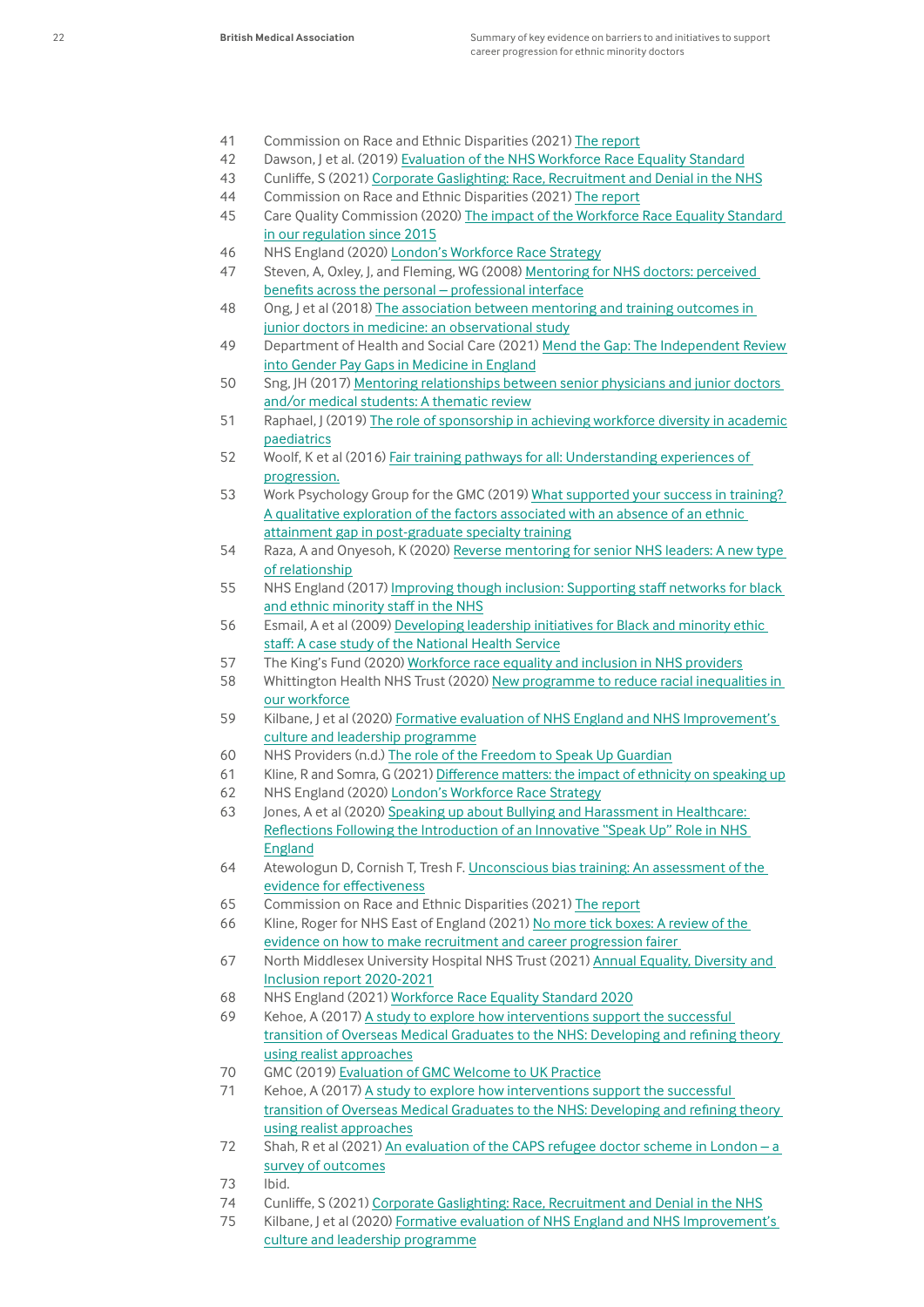- 41 Commission on Race and Ethnic Disparities (2021) [The report](https://assets.publishing.service.gov.uk/government/uploads/system/uploads/attachment_data/file/974507/20210331_-_CRED_Report_-_FINAL_-_Web_Accessible.pdf)
- 42 Dawson, J et al. (2019) [Evaluation of the NHS Workforce Race Equality Standard](https://www.england.nhs.uk/wp-content/uploads/2019/09/wres-evaluation-report-january-2019.pdf)
- 43 Cunliffe, S (2021) [Corporate Gaslighting: Race, Recruitment and Denial in the NHS](https://citou.com/research-and-resources/)
- 44 Commission on Race and Ethnic Disparities (2021) [The report](https://assets.publishing.service.gov.uk/government/uploads/system/uploads/attachment_data/file/974507/20210331_-_CRED_Report_-_FINAL_-_Web_Accessible.pdf)
- 45 Care Quality Commission (2020) [The impact of the Workforce Race Equality Standard](https://www.cqc.org.uk/about-us/equality-human-rights/impact-workforce-race-equality-standard-our-regulation-2015)  [in our regulation since 2015](https://www.cqc.org.uk/about-us/equality-human-rights/impact-workforce-race-equality-standard-our-regulation-2015)
- 46 NHS England (2020) London's Workforce Race Strategy
- 47 Steven, A, Oxley, J, and Fleming, WG (2008) [Mentoring for NHS doctors: perceived](https://www.ncbi.nlm.nih.gov/pmc/articles/PMC2586857/)  [benefits across the personal – professional interface](https://www.ncbi.nlm.nih.gov/pmc/articles/PMC2586857/)
- 48 Ong, J et al (2018) [The association between mentoring and training outcomes in](https://bmjopen.bmj.com/content/8/9/e020721)  [junior doctors in medicine: an observational study](https://bmjopen.bmj.com/content/8/9/e020721)
- 49 Department of Health and Social Care (2021) [Mend the Gap: The Independent Review](https://assets.publishing.service.gov.uk/government/uploads/system/uploads/attachment_data/file/944246/Gender_pay_gap_in_medicine_review.pdf)  [into Gender Pay Gaps in Medicine in England](https://assets.publishing.service.gov.uk/government/uploads/system/uploads/attachment_data/file/944246/Gender_pay_gap_in_medicine_review.pdf)
- 50 Sng, JH (2017) [Mentoring relationships between senior physicians and junior doctors](https://pubmed.ncbi.nlm.nih.gov/28562193/)  [and/or medical students: A thematic review](https://pubmed.ncbi.nlm.nih.gov/28562193/)
- 51 Raphael, J (2019) [The role of sponsorship in achieving workforce diversity in academic](https://publications.aap.org/pediatrics/article/144/2/e20191532/38556/The-Role-of-Sponsorship-in-Achieving-Workforce) [paediatrics](https://publications.aap.org/pediatrics/article/144/2/e20191532/38556/The-Role-of-Sponsorship-in-Achieving-Workforce)
- 52 Woolf, K et al (2016) [Fair training pathways for all: Understanding experiences of](https://www.gmc-uk.org/-/media/documents/2016-04-28-fairpathwaysfinalreport_pdf-66939685_pdf-67089434_pdf-70345187.pdf)  [progression.](https://www.gmc-uk.org/-/media/documents/2016-04-28-fairpathwaysfinalreport_pdf-66939685_pdf-67089434_pdf-70345187.pdf)
- 53 Work Psychology Group for the GMC (2019) [What supported your success in training?](https://www.gmc-uk.org/-/media/documents/gmc-da-final-report-success-factors-in-training-211119_pdf-80914221.pdf)  [A qualitative exploration of the factors associated with an absence of an ethnic](https://www.gmc-uk.org/-/media/documents/gmc-da-final-report-success-factors-in-training-211119_pdf-80914221.pdf)  [attainment gap in post-graduate specialty training](https://www.gmc-uk.org/-/media/documents/gmc-da-final-report-success-factors-in-training-211119_pdf-80914221.pdf)
- 54 Raza, A and Onyesoh, K (2020) Reverse mentoring for senior NHS leaders: A new type [of relationship](https://www.ncbi.nlm.nih.gov/pmc/articles/PMC7032576/)
- 55 NHS England (2017) [Improving though inclusion: Supporting staff networks for black](file:///\\bma1.bmauk.net\Userbma\kfirth\Documents\Successful%20staff%20networks%20offer%20a%20supportive%20and%20safe%20space%20to%20have%20discussions)  [and ethnic minority staff in the NHS](file:///\\bma1.bmauk.net\Userbma\kfirth\Documents\Successful%20staff%20networks%20offer%20a%20supportive%20and%20safe%20space%20to%20have%20discussions)
- 56 Esmail, A et al (2009) [Developing leadership initiatives for Black and minority ethic](https://pubmed.ncbi.nlm.nih.gov/19455881/)  [staff: A case study of the National Health Service](https://pubmed.ncbi.nlm.nih.gov/19455881/)
- 57 The King's Fund (2020) [Workforce race equality and inclusion in NHS providers](https://www.kingsfund.org.uk/publications/workforce-race-inequalities-inclusion-nhs)
- 58 Whittington Health NHS Trust (2020) New programme to reduce racial inequalities in [our workforce](https://www.kingsfund.org.uk/publications/workforce-race-inequalities-inclusion-nhs)
- 59 Kilbane, J et al (2020) [Formative evaluation of NHS England and NHS Improvement's](https://www.research.manchester.ac.uk/portal/en/publications/formative-evaluation-of-nhs-england-and-nhs-improvements-culture-and-leadership-programme(35c044ff-1716-4fc2-8c37-7783648798a5).html)  [culture and leadership programme](https://www.research.manchester.ac.uk/portal/en/publications/formative-evaluation-of-nhs-england-and-nhs-improvements-culture-and-leadership-programme(35c044ff-1716-4fc2-8c37-7783648798a5).html)
- 60 NHS Providers (n.d.) [The role of the Freedom to Speak Up Guardian](https://nhsproviders.org/media/4970/freedom-to-speak-up-guardians.pdf)
- 61 Kline, R and Somra, G (2021) [Difference matters: the impact of ethnicity on speaking up](https://nationalguardian.org.uk/wp-content/uploads/2021/09/Difference_Matters.pdf)
- 62 NHS England (2020) London's Workforce Race Strategy
- 63 Jones, A et al (2020) [Speaking up about Bullying and Harassment in Healthcare:](https://openresearch.surrey.ac.uk/esploro/outputs/bookChapter/Speaking-up-about-Bullying-and-Harassment-in-Healthcare-Reflections-Following-the-Introduction-of-an-Innovative-Speak-Up-Role-in-NHS-England/99545522502346)  [Reflections Following the Introduction of an Innovative "Speak Up" Role in NHS](https://openresearch.surrey.ac.uk/esploro/outputs/bookChapter/Speaking-up-about-Bullying-and-Harassment-in-Healthcare-Reflections-Following-the-Introduction-of-an-Innovative-Speak-Up-Role-in-NHS-England/99545522502346)  [England](https://openresearch.surrey.ac.uk/esploro/outputs/bookChapter/Speaking-up-about-Bullying-and-Harassment-in-Healthcare-Reflections-Following-the-Introduction-of-an-Innovative-Speak-Up-Role-in-NHS-England/99545522502346)
- 64 Atewologun D, Cornish T, Tresh F. [Unconscious bias training: An assessment of the](https://www.equalityhumanrights.com/sites/default/files/research-report-113-unconcious-bais-training-an-assessment-of-the-evidence-for-effectiveness-pdf.pdf)  [evidence for effectiveness](https://www.equalityhumanrights.com/sites/default/files/research-report-113-unconcious-bais-training-an-assessment-of-the-evidence-for-effectiveness-pdf.pdf)
- 65 Commission on Race and Ethnic Disparities (2021) [The report](https://assets.publishing.service.gov.uk/government/uploads/system/uploads/attachment_data/file/974507/20210331_-_CRED_Report_-_FINAL_-_Web_Accessible.pdf)
- 66 Kline, Roger for NHS East of England (2021) [No more tick boxes: A review of the](https://www.england.nhs.uk/east-of-england/wp-content/uploads/sites/47/2021/10/NHSE-Recruitment-Research-Document-FINAL-2.2.pdf)  [evidence on how to make recruitment and career progression fairer](https://www.england.nhs.uk/east-of-england/wp-content/uploads/sites/47/2021/10/NHSE-Recruitment-Research-Document-FINAL-2.2.pdf)
- 67 North Middlesex University Hospital NHS Trust (2021) [Annual Equality, Diversity and](https://www.northmid.nhs.uk/download.cfm?doc=docm93jijm4n5078.pdf&ver=9321)  [Inclusion report 2020-2021](https://www.northmid.nhs.uk/download.cfm?doc=docm93jijm4n5078.pdf&ver=9321)
- 68 NHS England (2021) [Workforce Race Equality Standard 2020](https://www.england.nhs.uk/publication/workforce-race-equality-standard-2020-supporting-data/)
- 69 Kehoe, A (2017) A study to explore how interventions support the successful [transition of Overseas Medical Graduates to the NHS: Developing and refining theory](http://etheses.dur.ac.uk/12019/)  [using realist approaches](http://etheses.dur.ac.uk/12019/)
- 70 GMC (2019) [Evaluation of GMC Welcome to UK Practice](https://www.gmc-uk.org/-/media/documents/evaluation-of-gmc-welcome-to-uk-practice---january-2019_pdf-79429900.pdf)
- 71 Kehoe, A (2017) A study to explore how interventions support the successful [transition of Overseas Medical Graduates to the NHS: Developing and refining theory](http://etheses.dur.ac.uk/12019/)  [using realist approaches](http://etheses.dur.ac.uk/12019/)
- 72 Shah, R et al (2021) [An evaluation of the CAPS refugee doctor scheme in London a](https://pubmed.ncbi.nlm.nih.gov/33371821/)  [survey of outcomes](https://pubmed.ncbi.nlm.nih.gov/33371821/)
- 73 Ibid.
- 74 Cunliffe, S (2021) [Corporate Gaslighting: Race, Recruitment and Denial in the NHS](https://citou.com/research-and-resources/)
- 75 Kilbane, J et al (2020) Formative evaluation of NHS England and NHS Improvement's [culture and leadership programme](https://www.research.manchester.ac.uk/portal/en/publications/formative-evaluation-of-nhs-england-and-nhs-improvements-culture-and-leadership-programme(35c044ff-1716-4fc2-8c37-7783648798a5).html)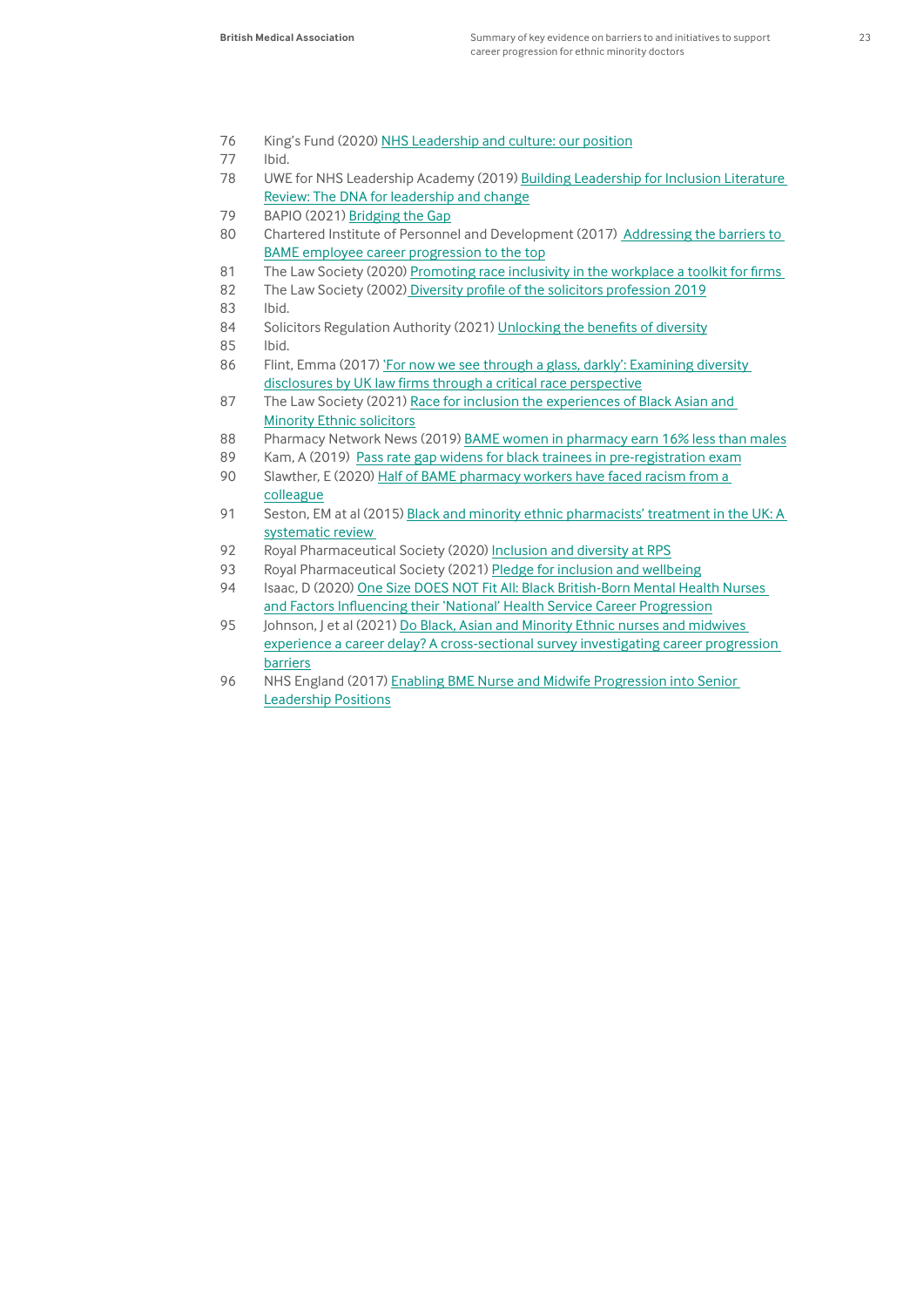- 76 King's Fund (2020) [NHS Leadership and culture: our position](https://www.kingsfund.org.uk/projects/positions/NHS-leadership-culture)
- 77 Ibid.
- 78 UWE for NHS Leadership Academy (2019) [Building Leadership for Inclusion Literature](https://www.leadershipacademy.nhs.uk/resources/inclusion-equality-and-diversity/blfi-2/)  [Review: The DNA for leadership and change](https://www.leadershipacademy.nhs.uk/resources/inclusion-equality-and-diversity/blfi-2/)
- 79 BAPIO (2021) [Bridging the Gap](https://www.sushrutajnl.net/index.php/sushruta/article/view/132/269)
- 80 Chartered Institute of Personnel and Development (2017) [Addressing the barriers to](https://www.cipd.co.uk/Images/addressing-the-barriers-to-BAME-employee-career-progression-to-the-top_tcm18-33336.pdf)  [BAME employee career progression to the top](https://www.cipd.co.uk/Images/addressing-the-barriers-to-BAME-employee-career-progression-to-the-top_tcm18-33336.pdf)
- 81 The Law Society (2020) [Promoting race inclusivity in the workplace a toolkit for firms](https://www.lawsociety.org.uk/topics/hr-and-people-management/promoting-race-inclusivity-in-the-workplace-a-toolkit-for-firms)
- 82 The Law Society (2002[\) Diversity profile of the solicitors profession 2019](https://www.lawsociety.org.uk/topics/research/diversity-profile-of-the-solicitors-profession-2019)
- 83 Ibid.
- 84 Solicitors Regulation Authority (2021) [Unlocking the benefits of diversity](https://www.sra.org.uk/sra/how-we-work/reports/unlocking-benefits-diversity/)
- 85 Ibid.
- 86 Flint, Emma (2017) 'For now we see through a glass, darkly': Examining diversity [disclosures by UK law firms through a critical race perspective](http://epapers.bham.ac.uk/3013/)
- 87 The Law Society (2021) [Race for inclusion the experiences of Black Asian and](https://www.lawsociety.org.uk/Topics/Research/Race-for-inclusion-the-experiences-of-Black-Asian-and-Minority-Ethnic-solicitors)  [Minority Ethnic solicitors](https://www.lawsociety.org.uk/Topics/Research/Race-for-inclusion-the-experiences-of-Black-Asian-and-Minority-Ethnic-solicitors)
- 88 Pharmacy Network News (2019) [BAME women in pharmacy earn 16% less than males](https://www.pharmacynetworknews.com/profession/bame-women-in-pharmacy-earn-16-less-than-males-)
- 89 Kam, A (2019) [Pass rate gap widens for black trainees in pre-registration exam](https://pharmaceutical-journal.com/article/news/pass-rate-gap-widens-for-black-trainees-in-preregistration-exam)
- 90 Slawther, E (2020) Half of BAME pharmacy workers have faced racism from a [colleague](https://www.chemistanddruggist.co.uk/CD006639/Half-of-BAME-pharmacy-workers-have-faced-racism-from-a-colleague)
- 91 Seston, EM at al (2015) Black and minority ethnic pharmacists' treatment in the UK: A systematic review
- 92 Royal Pharmaceutical Society (2020) [Inclusion and diversity at RPS](https://www.rpharms.com/recognition/inclusion-diversity)
- 93 Royal Pharmaceutical Society (2021) [Pledge for inclusion and wellbeing](https://www.rpharms.com/pledge)
- 94 Isaac, D (2020) [One Size DOES NOT Fit All: Black British-Born Mental Health Nurses](https://www.ejecs.org/index.php/JECS/article/view/417)  [and Factors Influencing their 'National' Health Service Career Progression](https://www.ejecs.org/index.php/JECS/article/view/417)
- 95 Johnson, J et al (2021) Do Black, Asian and Minority Ethnic nurses and midwives [experience a career delay? A cross-sectional survey investigating career progression](https://pubmed.ncbi.nlm.nih.gov/34074210/)  [barriers](https://pubmed.ncbi.nlm.nih.gov/34074210/)
- 96 NHS England (2017) Enabling BME Nurse and Midwife Progression into Senior [Leadership Positions](https://www.england.nhs.uk/wp-content/uploads/2017/12/enabling-bme-nurse-midwife-progression-into-senior-leadership-positions.pdf)